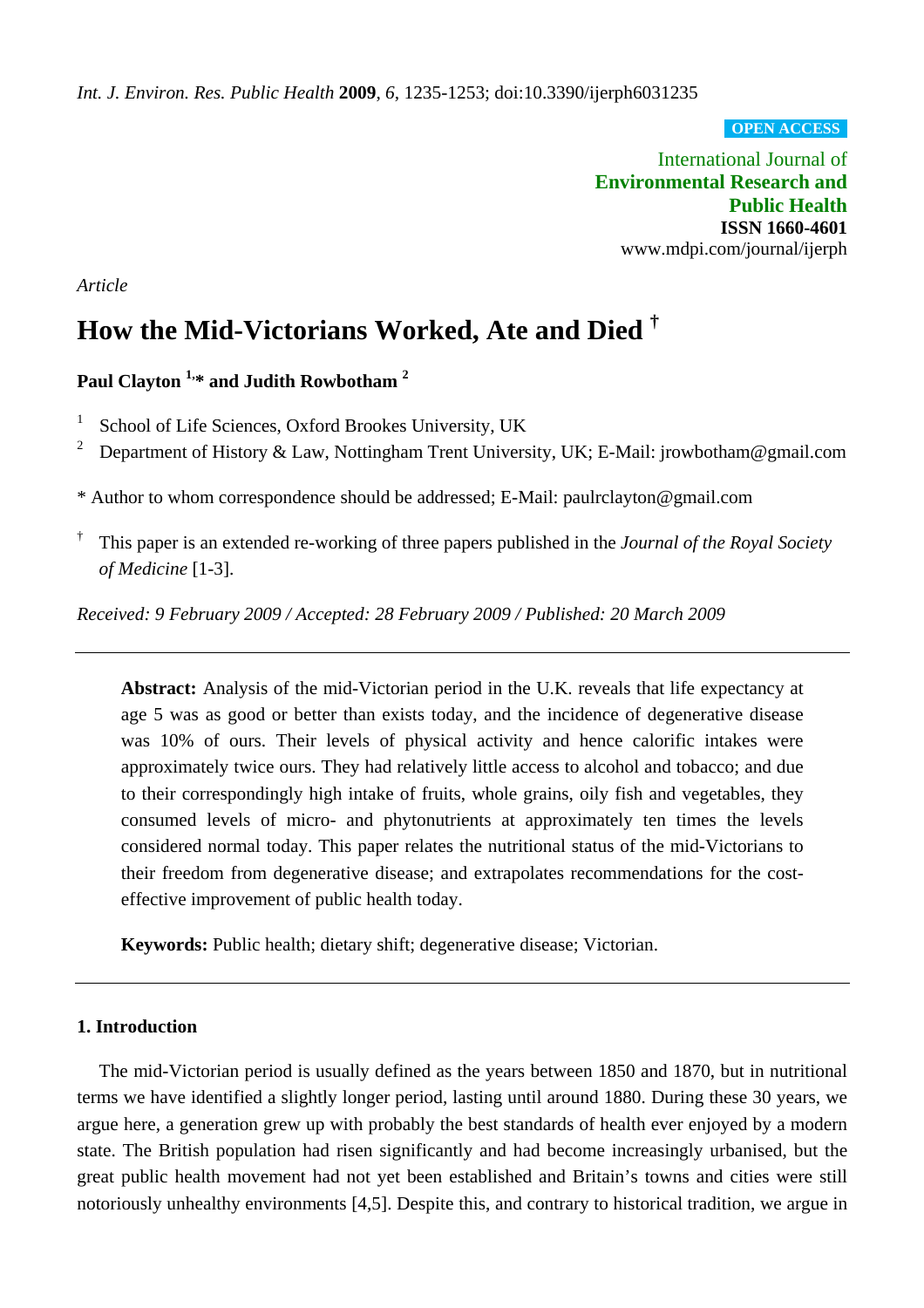**OPEN ACCESS**

International Journal of **Environmental Research and Public Health ISSN 1660-4601**  www.mdpi.com/journal/ijerph

*Article* 

# **How the Mid-Victorians Worked, Ate and Died †**

# **Paul Clayton 1,\* and Judith Rowbotham 2**

- 1 School of Life Sciences, Oxford Brookes University, UK
- 2 Department of History & Law, Nottingham Trent University, UK; E-Mail: jrowbotham@gmail.com

\* Author to whom correspondence should be addressed; E-Mail: paulrclayton@gmail.com

† This paper is an extended re-working of three papers published in the *Journal of the Royal Society of Medicine* [1-3].

*Received: 9 February 2009 / Accepted: 28 February 2009 / Published: 20 March 2009* 

**Abstract:** Analysis of the mid-Victorian period in the U.K. reveals that life expectancy at age 5 was as good or better than exists today, and the incidence of degenerative disease was 10% of ours. Their levels of physical activity and hence calorific intakes were approximately twice ours. They had relatively little access to alcohol and tobacco; and due to their correspondingly high intake of fruits, whole grains, oily fish and vegetables, they consumed levels of micro- and phytonutrients at approximately ten times the levels considered normal today. This paper relates the nutritional status of the mid-Victorians to their freedom from degenerative disease; and extrapolates recommendations for the costeffective improvement of public health today.

**Keywords:** Public health; dietary shift; degenerative disease; Victorian.

# **1. Introduction**

The mid-Victorian period is usually defined as the years between 1850 and 1870, but in nutritional terms we have identified a slightly longer period, lasting until around 1880. During these 30 years, we argue here, a generation grew up with probably the best standards of health ever enjoyed by a modern state. The British population had risen significantly and had become increasingly urbanised, but the great public health movement had not yet been established and Britain's towns and cities were still notoriously unhealthy environments [4,5]. Despite this, and contrary to historical tradition, we argue in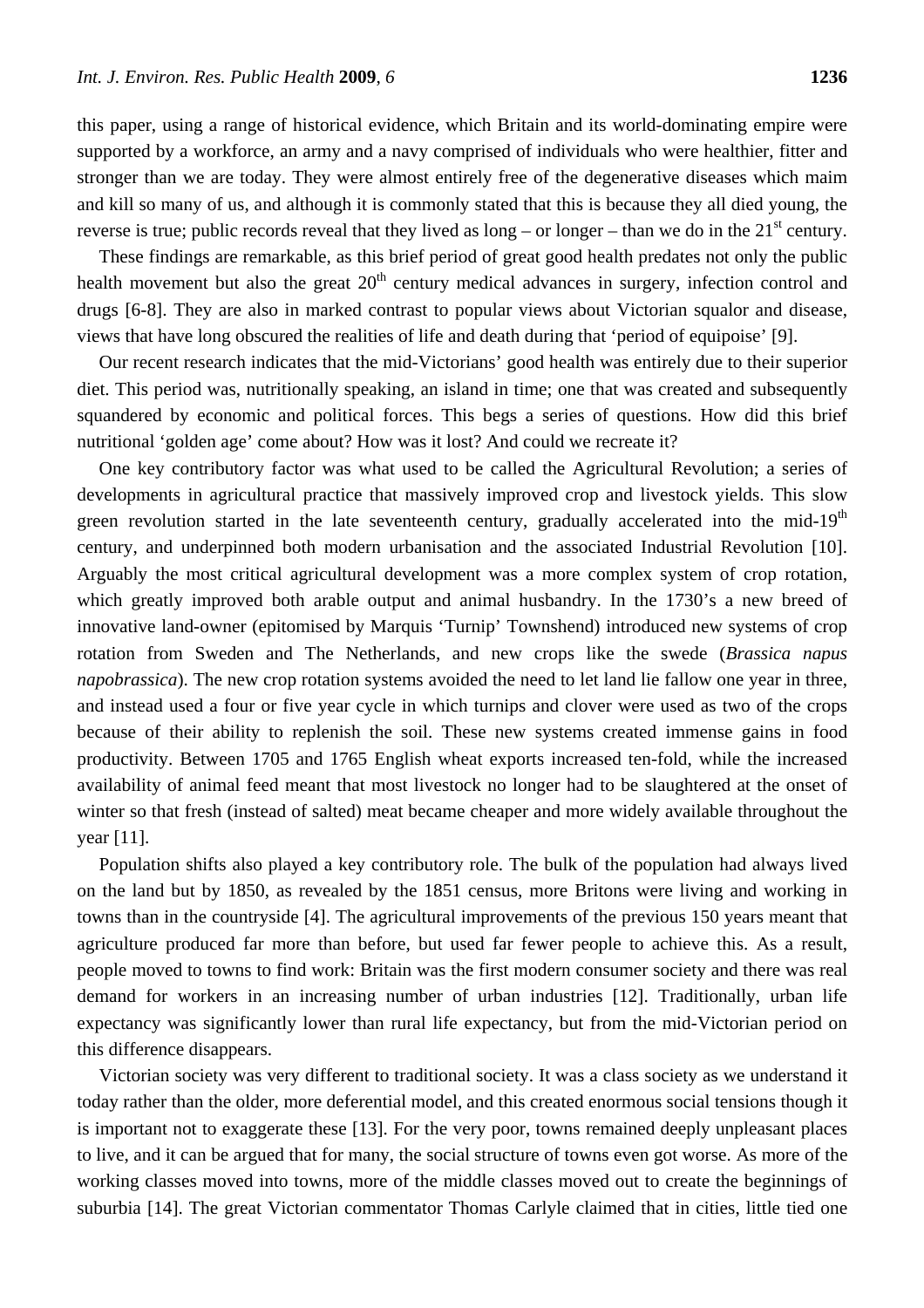this paper, using a range of historical evidence, which Britain and its world-dominating empire were supported by a workforce, an army and a navy comprised of individuals who were healthier, fitter and stronger than we are today. They were almost entirely free of the degenerative diseases which maim and kill so many of us, and although it is commonly stated that this is because they all died young, the reverse is true; public records reveal that they lived as long – or longer – than we do in the 21<sup>st</sup> century.

These findings are remarkable, as this brief period of great good health predates not only the public health movement but also the great  $20<sup>th</sup>$  century medical advances in surgery, infection control and drugs [6-8]. They are also in marked contrast to popular views about Victorian squalor and disease, views that have long obscured the realities of life and death during that 'period of equipoise' [9].

Our recent research indicates that the mid-Victorians' good health was entirely due to their superior diet. This period was, nutritionally speaking, an island in time; one that was created and subsequently squandered by economic and political forces. This begs a series of questions. How did this brief nutritional 'golden age' come about? How was it lost? And could we recreate it?

One key contributory factor was what used to be called the Agricultural Revolution; a series of developments in agricultural practice that massively improved crop and livestock yields. This slow green revolution started in the late seventeenth century, gradually accelerated into the mid-19<sup>th</sup> century, and underpinned both modern urbanisation and the associated Industrial Revolution [10]. Arguably the most critical agricultural development was a more complex system of crop rotation, which greatly improved both arable output and animal husbandry. In the 1730's a new breed of innovative land-owner (epitomised by Marquis 'Turnip' Townshend) introduced new systems of crop rotation from Sweden and The Netherlands, and new crops like the swede (*Brassica napus napobrassica*). The new crop rotation systems avoided the need to let land lie fallow one year in three, and instead used a four or five year cycle in which turnips and clover were used as two of the crops because of their ability to replenish the soil. These new systems created immense gains in food productivity. Between 1705 and 1765 English wheat exports increased ten-fold, while the increased availability of animal feed meant that most livestock no longer had to be slaughtered at the onset of winter so that fresh (instead of salted) meat became cheaper and more widely available throughout the year [11].

Population shifts also played a key contributory role. The bulk of the population had always lived on the land but by 1850, as revealed by the 1851 census, more Britons were living and working in towns than in the countryside [4]. The agricultural improvements of the previous 150 years meant that agriculture produced far more than before, but used far fewer people to achieve this. As a result, people moved to towns to find work: Britain was the first modern consumer society and there was real demand for workers in an increasing number of urban industries [12]. Traditionally, urban life expectancy was significantly lower than rural life expectancy, but from the mid-Victorian period on this difference disappears.

Victorian society was very different to traditional society. It was a class society as we understand it today rather than the older, more deferential model, and this created enormous social tensions though it is important not to exaggerate these [13]. For the very poor, towns remained deeply unpleasant places to live, and it can be argued that for many, the social structure of towns even got worse. As more of the working classes moved into towns, more of the middle classes moved out to create the beginnings of suburbia [14]. The great Victorian commentator Thomas Carlyle claimed that in cities, little tied one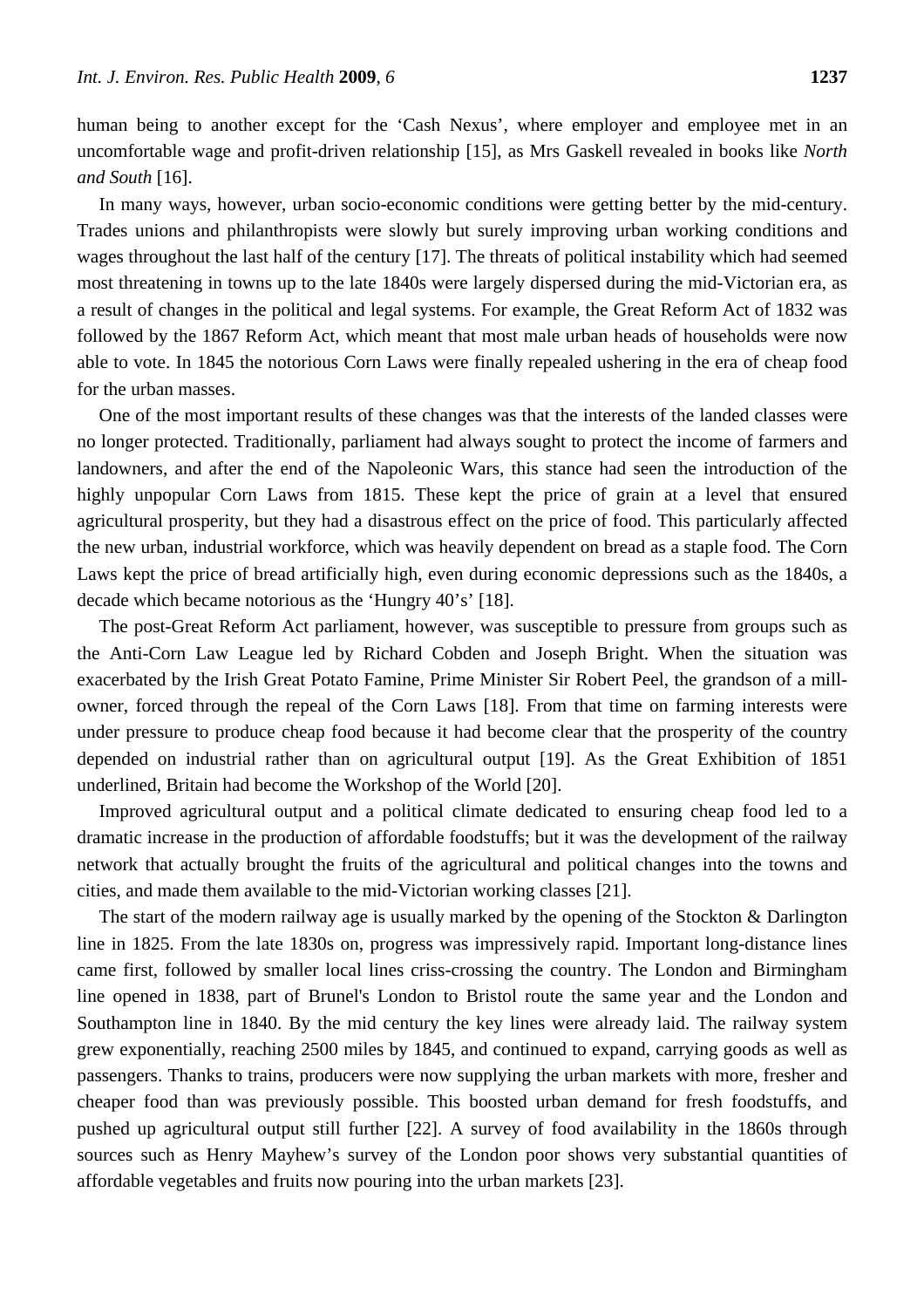human being to another except for the 'Cash Nexus', where employer and employee met in an uncomfortable wage and profit-driven relationship [15], as Mrs Gaskell revealed in books like *North and South* [16].

In many ways, however, urban socio-economic conditions were getting better by the mid-century. Trades unions and philanthropists were slowly but surely improving urban working conditions and wages throughout the last half of the century [17]. The threats of political instability which had seemed most threatening in towns up to the late 1840s were largely dispersed during the mid-Victorian era, as a result of changes in the political and legal systems. For example, the Great Reform Act of 1832 was followed by the 1867 Reform Act, which meant that most male urban heads of households were now able to vote. In 1845 the notorious Corn Laws were finally repealed ushering in the era of cheap food for the urban masses.

One of the most important results of these changes was that the interests of the landed classes were no longer protected. Traditionally, parliament had always sought to protect the income of farmers and landowners, and after the end of the Napoleonic Wars, this stance had seen the introduction of the highly unpopular Corn Laws from 1815. These kept the price of grain at a level that ensured agricultural prosperity, but they had a disastrous effect on the price of food. This particularly affected the new urban, industrial workforce, which was heavily dependent on bread as a staple food. The Corn Laws kept the price of bread artificially high, even during economic depressions such as the 1840s, a decade which became notorious as the 'Hungry 40's' [18].

The post-Great Reform Act parliament, however, was susceptible to pressure from groups such as the Anti-Corn Law League led by Richard Cobden and Joseph Bright. When the situation was exacerbated by the Irish Great Potato Famine, Prime Minister Sir Robert Peel, the grandson of a millowner, forced through the repeal of the Corn Laws [18]. From that time on farming interests were under pressure to produce cheap food because it had become clear that the prosperity of the country depended on industrial rather than on agricultural output [19]. As the Great Exhibition of 1851 underlined, Britain had become the Workshop of the World [20].

Improved agricultural output and a political climate dedicated to ensuring cheap food led to a dramatic increase in the production of affordable foodstuffs; but it was the development of the railway network that actually brought the fruits of the agricultural and political changes into the towns and cities, and made them available to the mid-Victorian working classes [21].

The start of the modern railway age is usually marked by the opening of the Stockton & Darlington line in 1825. From the late 1830s on, progress was impressively rapid. Important long-distance lines came first, followed by smaller local lines criss-crossing the country. The London and Birmingham line opened in 1838, part of Brunel's London to Bristol route the same year and the London and Southampton line in 1840. By the mid century the key lines were already laid. The railway system grew exponentially, reaching 2500 miles by 1845, and continued to expand, carrying goods as well as passengers. Thanks to trains, producers were now supplying the urban markets with more, fresher and cheaper food than was previously possible. This boosted urban demand for fresh foodstuffs, and pushed up agricultural output still further [22]. A survey of food availability in the 1860s through sources such as Henry Mayhew's survey of the London poor shows very substantial quantities of affordable vegetables and fruits now pouring into the urban markets [23].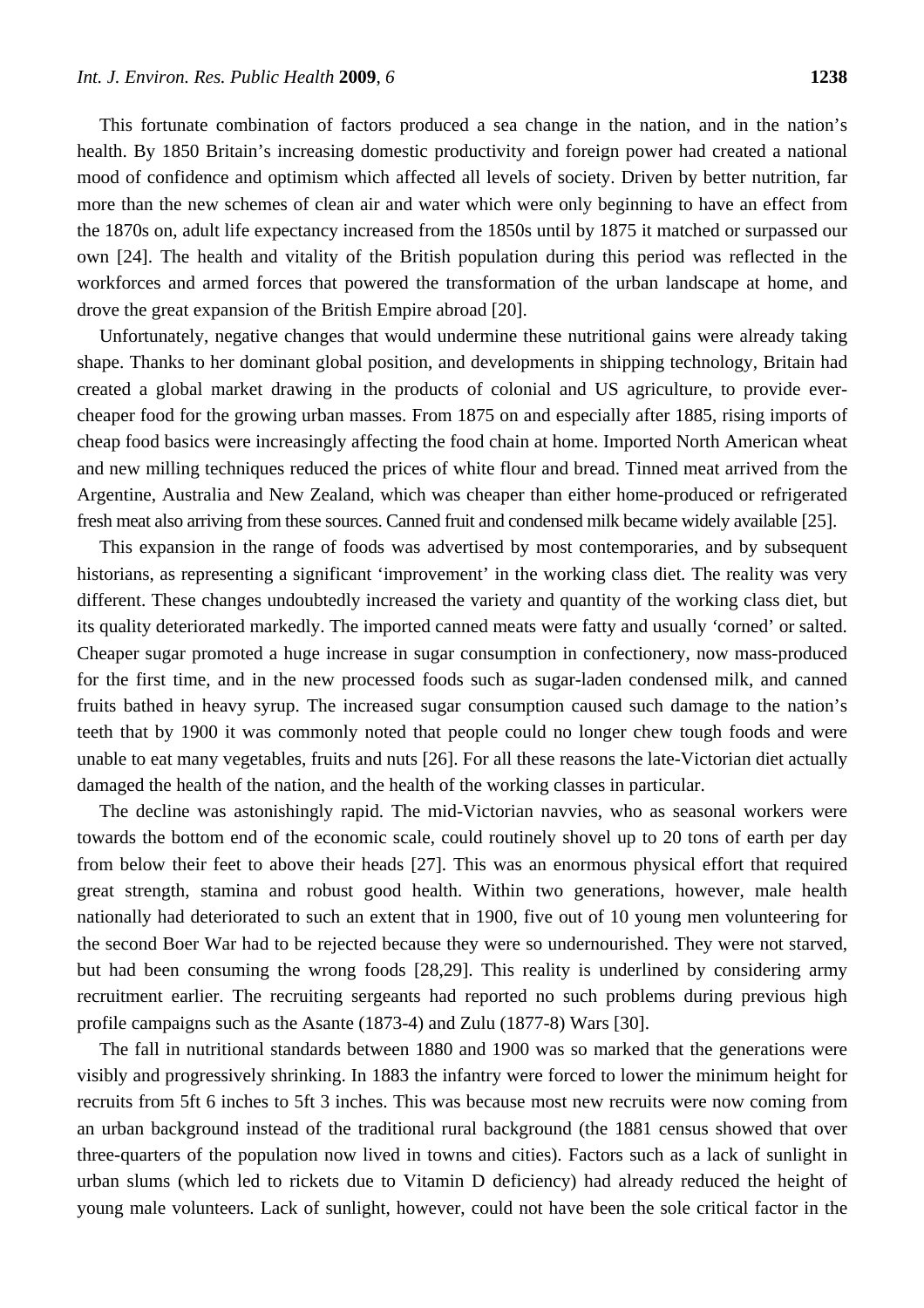This fortunate combination of factors produced a sea change in the nation, and in the nation's health. By 1850 Britain's increasing domestic productivity and foreign power had created a national mood of confidence and optimism which affected all levels of society. Driven by better nutrition, far more than the new schemes of clean air and water which were only beginning to have an effect from the 1870s on, adult life expectancy increased from the 1850s until by 1875 it matched or surpassed our own [24]. The health and vitality of the British population during this period was reflected in the workforces and armed forces that powered the transformation of the urban landscape at home, and drove the great expansion of the British Empire abroad [20].

Unfortunately, negative changes that would undermine these nutritional gains were already taking shape. Thanks to her dominant global position, and developments in shipping technology, Britain had created a global market drawing in the products of colonial and US agriculture, to provide evercheaper food for the growing urban masses. From 1875 on and especially after 1885, rising imports of cheap food basics were increasingly affecting the food chain at home. Imported North American wheat and new milling techniques reduced the prices of white flour and bread. Tinned meat arrived from the Argentine, Australia and New Zealand, which was cheaper than either home-produced or refrigerated fresh meat also arriving from these sources. Canned fruit and condensed milk became widely available [25].

This expansion in the range of foods was advertised by most contemporaries, and by subsequent historians, as representing a significant 'improvement' in the working class diet*.* The reality was very different. These changes undoubtedly increased the variety and quantity of the working class diet, but its quality deteriorated markedly. The imported canned meats were fatty and usually *'*corned' or salted. Cheaper sugar promoted a huge increase in sugar consumption in confectionery, now mass-produced for the first time, and in the new processed foods such as sugar-laden condensed milk, and canned fruits bathed in heavy syrup. The increased sugar consumption caused such damage to the nation's teeth that by 1900 it was commonly noted that people could no longer chew tough foods and were unable to eat many vegetables, fruits and nuts [26]. For all these reasons the late-Victorian diet actually damaged the health of the nation, and the health of the working classes in particular.

The decline was astonishingly rapid. The mid-Victorian navvies, who as seasonal workers were towards the bottom end of the economic scale, could routinely shovel up to 20 tons of earth per day from below their feet to above their heads [27]. This was an enormous physical effort that required great strength, stamina and robust good health. Within two generations, however, male health nationally had deteriorated to such an extent that in 1900, five out of 10 young men volunteering for the second Boer War had to be rejected because they were so undernourished. They were not starved, but had been consuming the wrong foods [28,29]. This reality is underlined by considering army recruitment earlier. The recruiting sergeants had reported no such problems during previous high profile campaigns such as the Asante (1873-4) and Zulu (1877-8) Wars [30].

The fall in nutritional standards between 1880 and 1900 was so marked that the generations were visibly and progressively shrinking. In 1883 the infantry were forced to lower the minimum height for recruits from 5ft 6 inches to 5ft 3 inches. This was because most new recruits were now coming from an urban background instead of the traditional rural background (the 1881 census showed that over three-quarters of the population now lived in towns and cities). Factors such as a lack of sunlight in urban slums (which led to rickets due to Vitamin D deficiency) had already reduced the height of young male volunteers. Lack of sunlight, however, could not have been the sole critical factor in the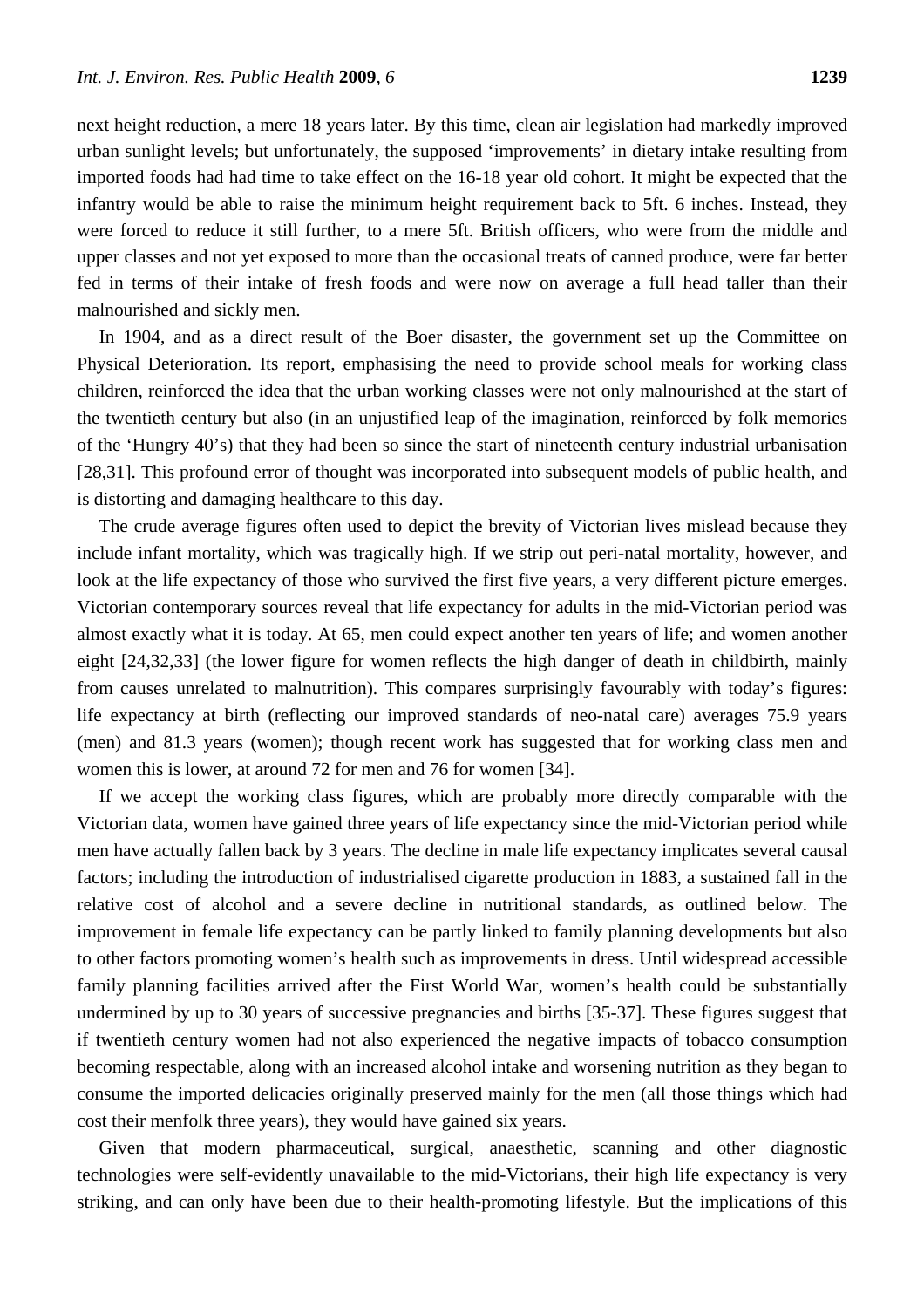next height reduction, a mere 18 years later. By this time, clean air legislation had markedly improved urban sunlight levels; but unfortunately, the supposed 'improvements' in dietary intake resulting from imported foods had had time to take effect on the 16-18 year old cohort. It might be expected that the infantry would be able to raise the minimum height requirement back to 5ft. 6 inches. Instead, they were forced to reduce it still further, to a mere 5ft. British officers, who were from the middle and upper classes and not yet exposed to more than the occasional treats of canned produce, were far better fed in terms of their intake of fresh foods and were now on average a full head taller than their malnourished and sickly men.

In 1904, and as a direct result of the Boer disaster, the government set up the Committee on Physical Deterioration. Its report, emphasising the need to provide school meals for working class children, reinforced the idea that the urban working classes were not only malnourished at the start of the twentieth century but also (in an unjustified leap of the imagination, reinforced by folk memories of the 'Hungry 40's) that they had been so since the start of nineteenth century industrial urbanisation [28,31]. This profound error of thought was incorporated into subsequent models of public health, and is distorting and damaging healthcare to this day.

The crude average figures often used to depict the brevity of Victorian lives mislead because they include infant mortality, which was tragically high. If we strip out peri-natal mortality, however, and look at the life expectancy of those who survived the first five years, a very different picture emerges. Victorian contemporary sources reveal that life expectancy for adults in the mid-Victorian period was almost exactly what it is today. At 65, men could expect another ten years of life; and women another eight [24,32,33] (the lower figure for women reflects the high danger of death in childbirth, mainly from causes unrelated to malnutrition). This compares surprisingly favourably with today's figures: life expectancy at birth (reflecting our improved standards of neo-natal care) averages 75.9 years (men) and 81.3 years (women); though recent work has suggested that for working class men and women this is lower, at around 72 for men and 76 for women [34].

If we accept the working class figures, which are probably more directly comparable with the Victorian data, women have gained three years of life expectancy since the mid-Victorian period while men have actually fallen back by 3 years. The decline in male life expectancy implicates several causal factors; including the introduction of industrialised cigarette production in 1883, a sustained fall in the relative cost of alcohol and a severe decline in nutritional standards, as outlined below. The improvement in female life expectancy can be partly linked to family planning developments but also to other factors promoting women's health such as improvements in dress. Until widespread accessible family planning facilities arrived after the First World War, women's health could be substantially undermined by up to 30 years of successive pregnancies and births [35-37]. These figures suggest that if twentieth century women had not also experienced the negative impacts of tobacco consumption becoming respectable, along with an increased alcohol intake and worsening nutrition as they began to consume the imported delicacies originally preserved mainly for the men (all those things which had cost their menfolk three years), they would have gained six years.

Given that modern pharmaceutical, surgical, anaesthetic, scanning and other diagnostic technologies were self-evidently unavailable to the mid-Victorians, their high life expectancy is very striking, and can only have been due to their health-promoting lifestyle. But the implications of this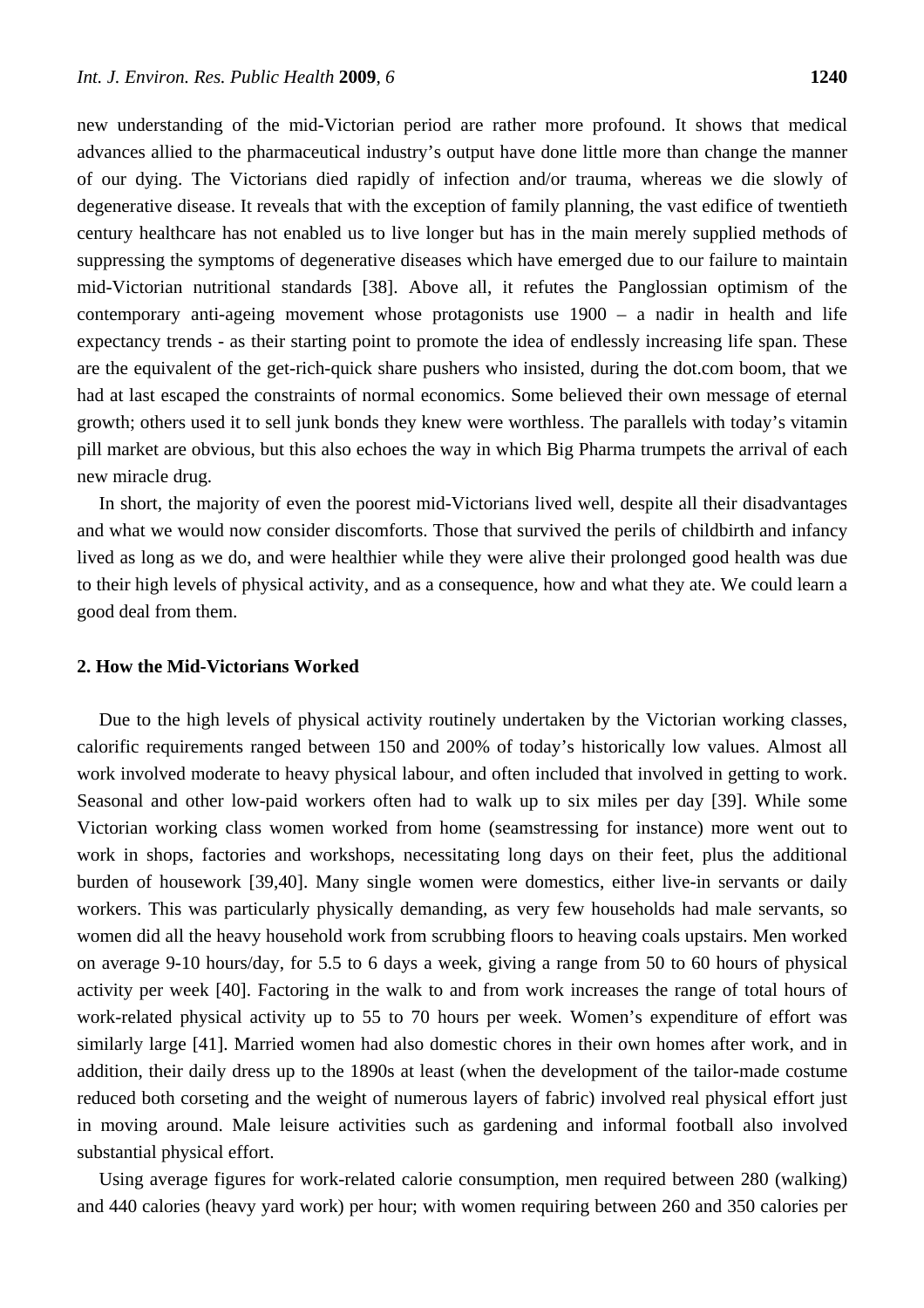new understanding of the mid-Victorian period are rather more profound. It shows that medical advances allied to the pharmaceutical industry's output have done little more than change the manner of our dying. The Victorians died rapidly of infection and/or trauma, whereas we die slowly of degenerative disease. It reveals that with the exception of family planning, the vast edifice of twentieth century healthcare has not enabled us to live longer but has in the main merely supplied methods of suppressing the symptoms of degenerative diseases which have emerged due to our failure to maintain mid-Victorian nutritional standards [38]. Above all, it refutes the Panglossian optimism of the contemporary anti-ageing movement whose protagonists use 1900 – a nadir in health and life expectancy trends - as their starting point to promote the idea of endlessly increasing life span. These are the equivalent of the get-rich-quick share pushers who insisted, during the dot.com boom, that we had at last escaped the constraints of normal economics. Some believed their own message of eternal growth; others used it to sell junk bonds they knew were worthless. The parallels with today's vitamin pill market are obvious, but this also echoes the way in which Big Pharma trumpets the arrival of each new miracle drug.

In short, the majority of even the poorest mid-Victorians lived well, despite all their disadvantages and what we would now consider discomforts. Those that survived the perils of childbirth and infancy lived as long as we do, and were healthier while they were alive their prolonged good health was due to their high levels of physical activity, and as a consequence, how and what they ate. We could learn a good deal from them.

# **2. How the Mid-Victorians Worked**

Due to the high levels of physical activity routinely undertaken by the Victorian working classes, calorific requirements ranged between 150 and 200% of today's historically low values. Almost all work involved moderate to heavy physical labour, and often included that involved in getting to work. Seasonal and other low-paid workers often had to walk up to six miles per day [39]. While some Victorian working class women worked from home (seamstressing for instance) more went out to work in shops, factories and workshops, necessitating long days on their feet, plus the additional burden of housework [39,40]. Many single women were domestics, either live-in servants or daily workers. This was particularly physically demanding, as very few households had male servants, so women did all the heavy household work from scrubbing floors to heaving coals upstairs. Men worked on average 9-10 hours/day, for 5.5 to 6 days a week, giving a range from 50 to 60 hours of physical activity per week [40]. Factoring in the walk to and from work increases the range of total hours of work-related physical activity up to 55 to 70 hours per week. Women's expenditure of effort was similarly large [41]. Married women had also domestic chores in their own homes after work, and in addition, their daily dress up to the 1890s at least (when the development of the tailor-made costume reduced both corseting and the weight of numerous layers of fabric) involved real physical effort just in moving around. Male leisure activities such as gardening and informal football also involved substantial physical effort.

Using average figures for work-related calorie consumption, men required between 280 (walking) and 440 calories (heavy yard work) per hour; with women requiring between 260 and 350 calories per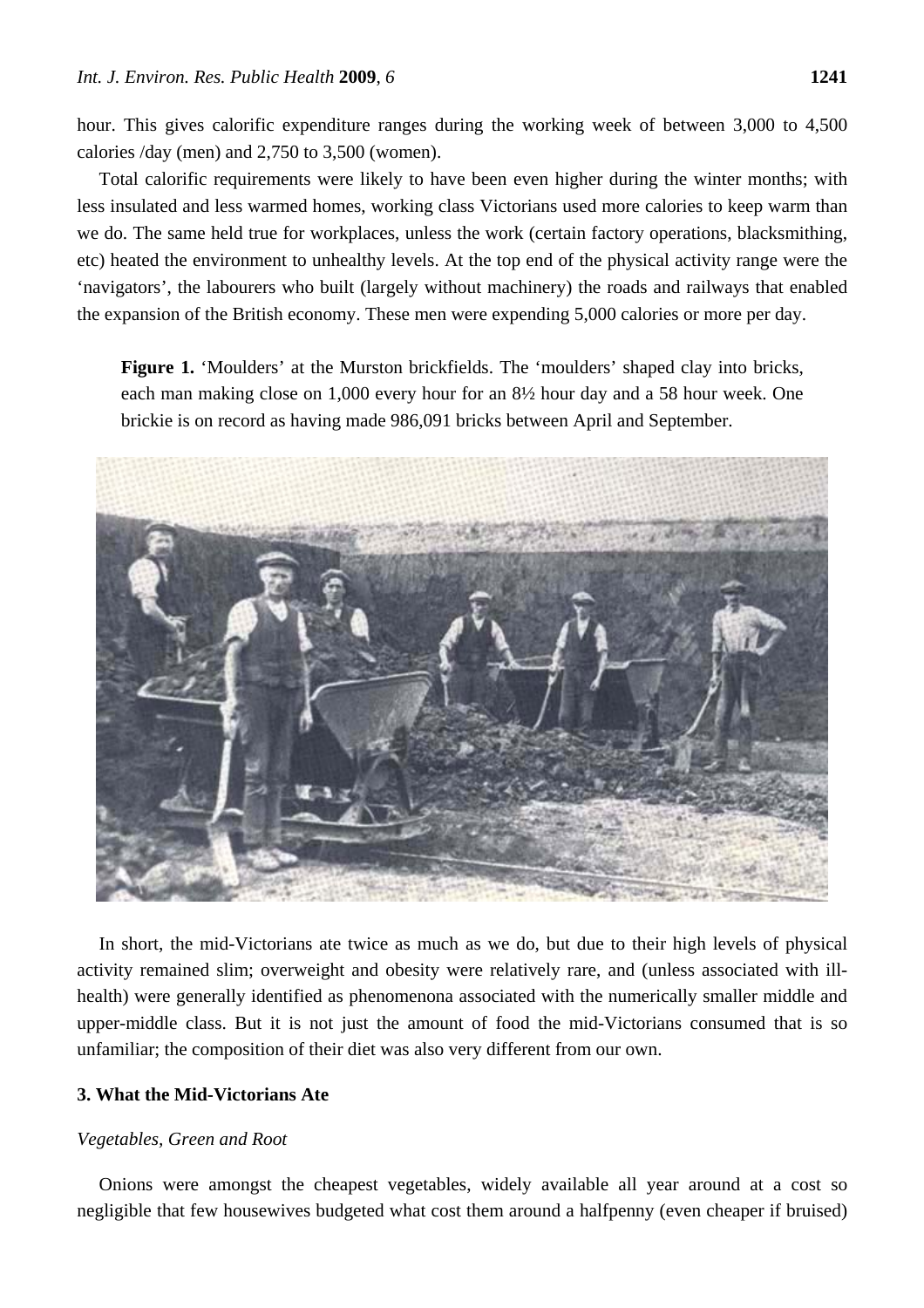hour. This gives calorific expenditure ranges during the working week of between 3,000 to 4,500 calories /day (men) and 2,750 to 3,500 (women).

Total calorific requirements were likely to have been even higher during the winter months; with less insulated and less warmed homes, working class Victorians used more calories to keep warm than we do. The same held true for workplaces, unless the work (certain factory operations, blacksmithing, etc) heated the environment to unhealthy levels. At the top end of the physical activity range were the 'navigators', the labourers who built (largely without machinery) the roads and railways that enabled the expansion of the British economy. These men were expending 5,000 calories or more per day.

**Figure 1.** 'Moulders' at the Murston brickfields. The 'moulders' shaped clay into bricks, each man making close on 1,000 every hour for an 8½ hour day and a 58 hour week. One brickie is on record as having made 986,091 bricks between April and September.



In short, the mid-Victorians ate twice as much as we do, but due to their high levels of physical activity remained slim; overweight and obesity were relatively rare, and (unless associated with illhealth) were generally identified as phenomenona associated with the numerically smaller middle and upper-middle class. But it is not just the amount of food the mid-Victorians consumed that is so unfamiliar; the composition of their diet was also very different from our own.

# **3. What the Mid-Victorians Ate**

#### *Vegetables, Green and Root*

Onions were amongst the cheapest vegetables, widely available all year around at a cost so negligible that few housewives budgeted what cost them around a halfpenny (even cheaper if bruised)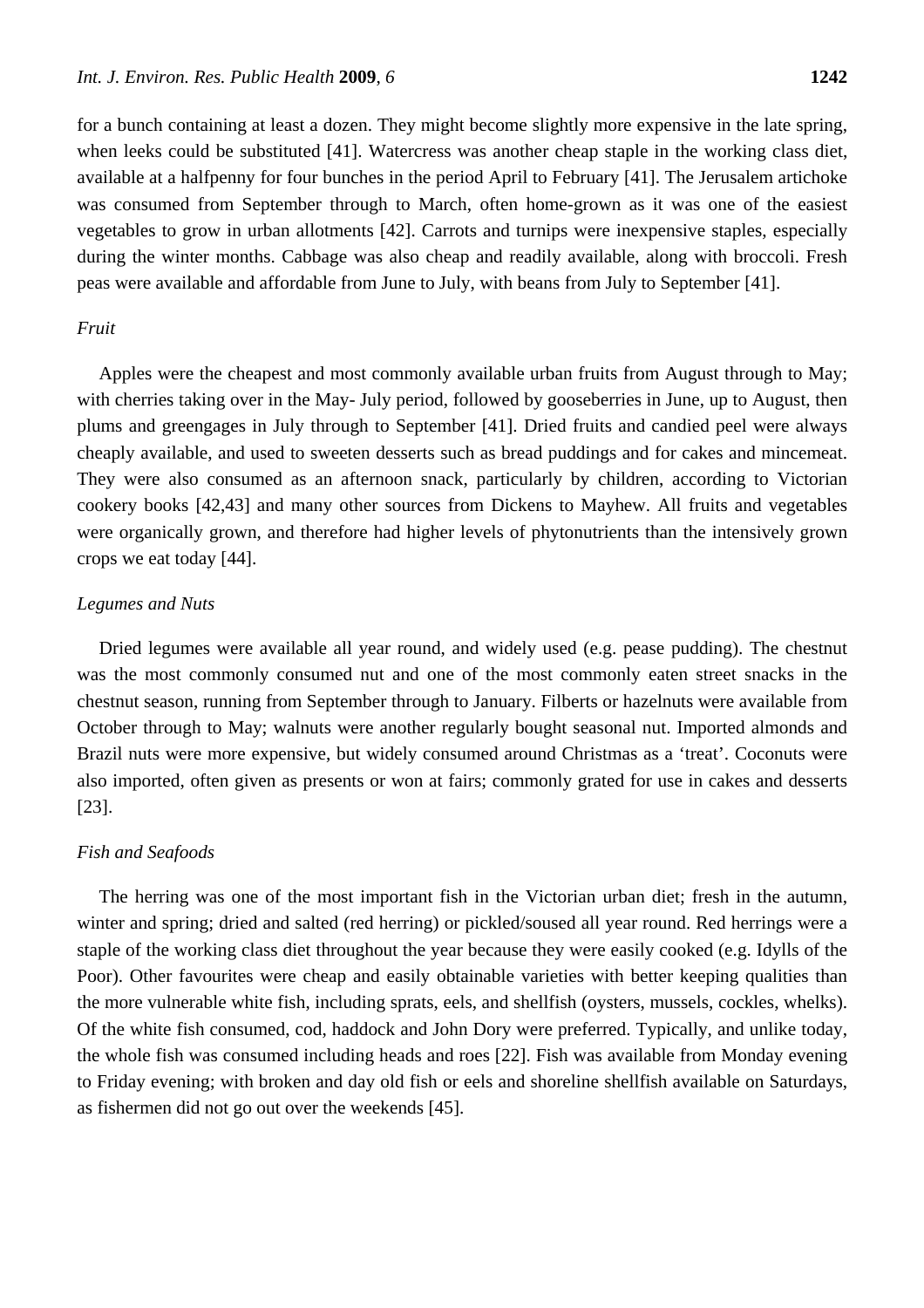for a bunch containing at least a dozen. They might become slightly more expensive in the late spring, when leeks could be substituted [41]. Watercress was another cheap staple in the working class diet, available at a halfpenny for four bunches in the period April to February [41]. The Jerusalem artichoke was consumed from September through to March, often home-grown as it was one of the easiest vegetables to grow in urban allotments [42]. Carrots and turnips were inexpensive staples, especially during the winter months. Cabbage was also cheap and readily available, along with broccoli. Fresh peas were available and affordable from June to July, with beans from July to September [41].

#### *Fruit*

Apples were the cheapest and most commonly available urban fruits from August through to May; with cherries taking over in the May- July period, followed by gooseberries in June, up to August, then plums and greengages in July through to September [41]. Dried fruits and candied peel were always cheaply available, and used to sweeten desserts such as bread puddings and for cakes and mincemeat. They were also consumed as an afternoon snack, particularly by children, according to Victorian cookery books [42,43] and many other sources from Dickens to Mayhew. All fruits and vegetables were organically grown, and therefore had higher levels of phytonutrients than the intensively grown crops we eat today [44].

# *Legumes and Nuts*

Dried legumes were available all year round, and widely used (e.g. pease pudding). The chestnut was the most commonly consumed nut and one of the most commonly eaten street snacks in the chestnut season, running from September through to January. Filberts or hazelnuts were available from October through to May; walnuts were another regularly bought seasonal nut. Imported almonds and Brazil nuts were more expensive, but widely consumed around Christmas as a 'treat'. Coconuts were also imported, often given as presents or won at fairs; commonly grated for use in cakes and desserts [23].

#### *Fish and Seafoods*

The herring was one of the most important fish in the Victorian urban diet; fresh in the autumn, winter and spring; dried and salted (red herring) or pickled/soused all year round. Red herrings were a staple of the working class diet throughout the year because they were easily cooked (e.g. Idylls of the Poor). Other favourites were cheap and easily obtainable varieties with better keeping qualities than the more vulnerable white fish, including sprats, eels, and shellfish (oysters, mussels, cockles, whelks). Of the white fish consumed, cod, haddock and John Dory were preferred. Typically, and unlike today, the whole fish was consumed including heads and roes [22]. Fish was available from Monday evening to Friday evening; with broken and day old fish or eels and shoreline shellfish available on Saturdays, as fishermen did not go out over the weekends [45].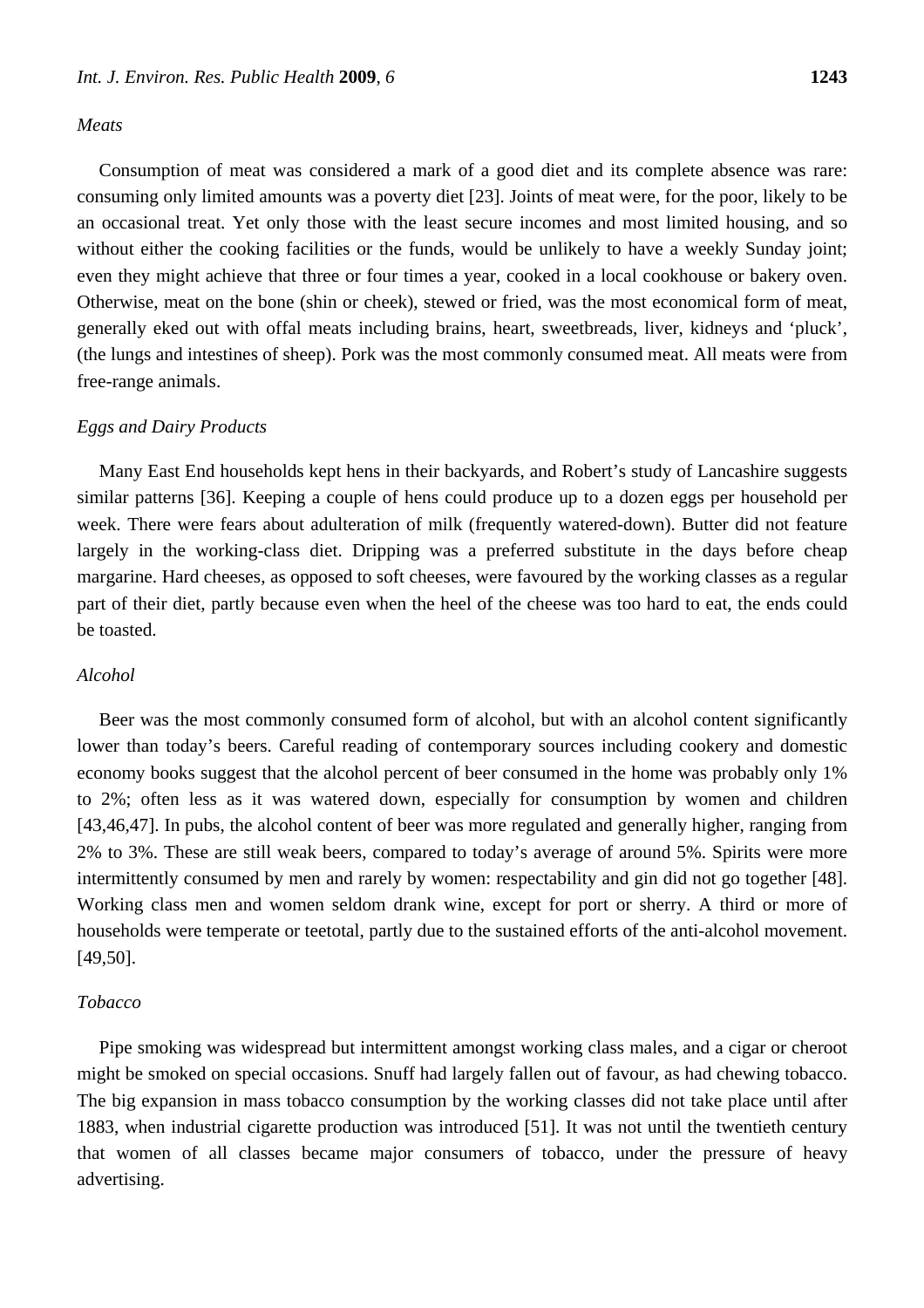#### *Meats*

Consumption of meat was considered a mark of a good diet and its complete absence was rare: consuming only limited amounts was a poverty diet [23]. Joints of meat were, for the poor, likely to be an occasional treat. Yet only those with the least secure incomes and most limited housing, and so without either the cooking facilities or the funds, would be unlikely to have a weekly Sunday joint; even they might achieve that three or four times a year, cooked in a local cookhouse or bakery oven. Otherwise, meat on the bone (shin or cheek), stewed or fried, was the most economical form of meat, generally eked out with offal meats including brains, heart, sweetbreads, liver, kidneys and 'pluck', (the lungs and intestines of sheep). Pork was the most commonly consumed meat. All meats were from free-range animals.

### *Eggs and Dairy Products*

Many East End households kept hens in their backyards, and Robert's study of Lancashire suggests similar patterns [36]. Keeping a couple of hens could produce up to a dozen eggs per household per week. There were fears about adulteration of milk (frequently watered-down). Butter did not feature largely in the working-class diet. Dripping was a preferred substitute in the days before cheap margarine. Hard cheeses, as opposed to soft cheeses, were favoured by the working classes as a regular part of their diet, partly because even when the heel of the cheese was too hard to eat, the ends could be toasted.

# *Alcohol*

Beer was the most commonly consumed form of alcohol, but with an alcohol content significantly lower than today's beers. Careful reading of contemporary sources including cookery and domestic economy books suggest that the alcohol percent of beer consumed in the home was probably only 1% to 2%; often less as it was watered down, especially for consumption by women and children [43,46,47]. In pubs, the alcohol content of beer was more regulated and generally higher, ranging from 2% to 3%. These are still weak beers, compared to today's average of around 5%. Spirits were more intermittently consumed by men and rarely by women: respectability and gin did not go together [48]. Working class men and women seldom drank wine, except for port or sherry. A third or more of households were temperate or teetotal, partly due to the sustained efforts of the anti-alcohol movement. [49,50].

# *Tobacco*

Pipe smoking was widespread but intermittent amongst working class males, and a cigar or cheroot might be smoked on special occasions. Snuff had largely fallen out of favour, as had chewing tobacco. The big expansion in mass tobacco consumption by the working classes did not take place until after 1883, when industrial cigarette production was introduced [51]. It was not until the twentieth century that women of all classes became major consumers of tobacco, under the pressure of heavy advertising.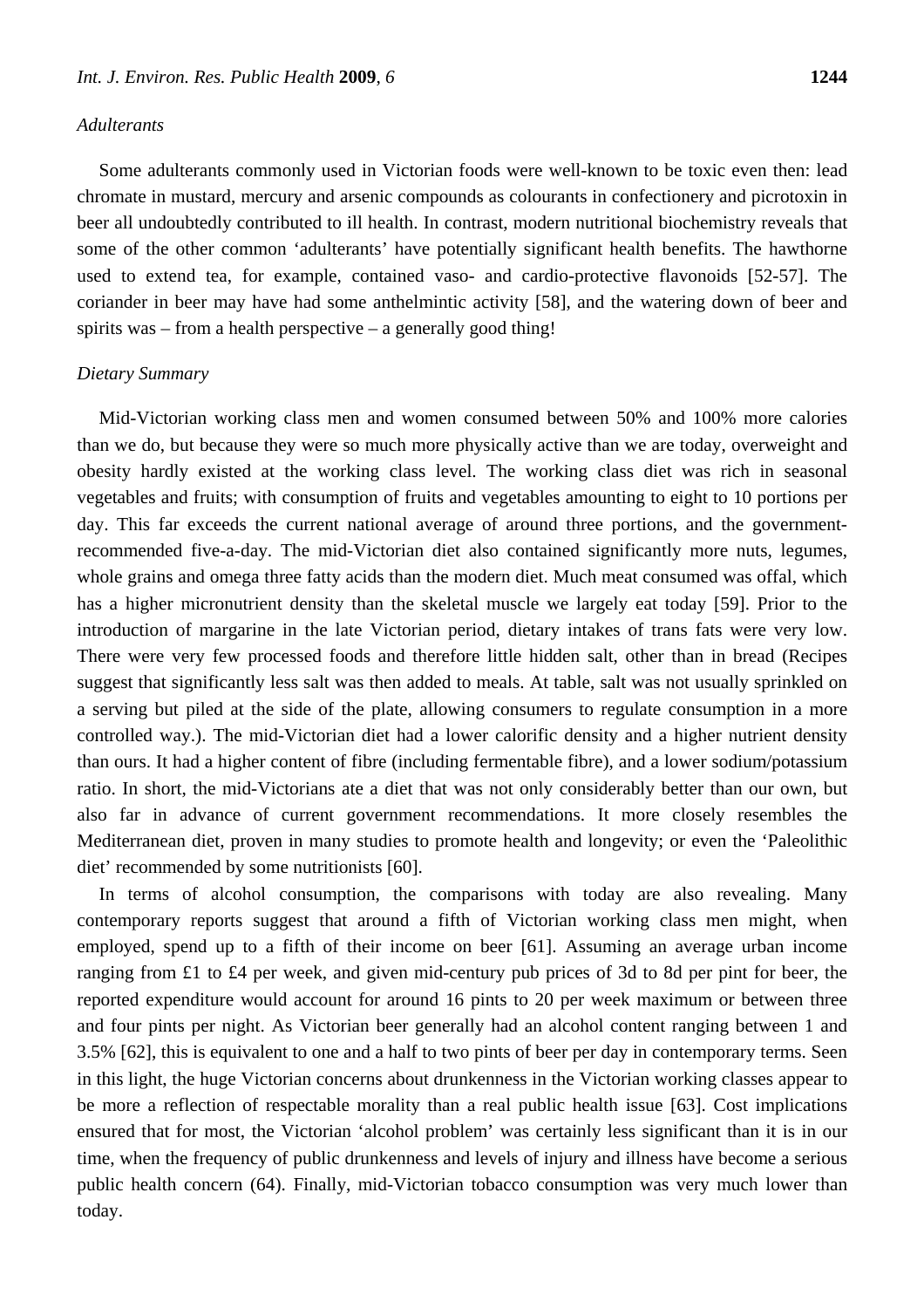#### *Adulterants*

Some adulterants commonly used in Victorian foods were well-known to be toxic even then: lead chromate in mustard, mercury and arsenic compounds as colourants in confectionery and picrotoxin in beer all undoubtedly contributed to ill health. In contrast, modern nutritional biochemistry reveals that some of the other common 'adulterants' have potentially significant health benefits. The hawthorne used to extend tea, for example, contained vaso- and cardio-protective flavonoids [52-57]. The coriander in beer may have had some anthelmintic activity [58], and the watering down of beer and spirits was – from a health perspective – a generally good thing!

### *Dietary Summary*

Mid-Victorian working class men and women consumed between 50% and 100% more calories than we do, but because they were so much more physically active than we are today, overweight and obesity hardly existed at the working class level. The working class diet was rich in seasonal vegetables and fruits; with consumption of fruits and vegetables amounting to eight to 10 portions per day. This far exceeds the current national average of around three portions, and the governmentrecommended five-a-day. The mid-Victorian diet also contained significantly more nuts, legumes, whole grains and omega three fatty acids than the modern diet. Much meat consumed was offal, which has a higher micronutrient density than the skeletal muscle we largely eat today [59]. Prior to the introduction of margarine in the late Victorian period, dietary intakes of trans fats were very low. There were very few processed foods and therefore little hidden salt, other than in bread (Recipes suggest that significantly less salt was then added to meals. At table, salt was not usually sprinkled on a serving but piled at the side of the plate, allowing consumers to regulate consumption in a more controlled way.). The mid-Victorian diet had a lower calorific density and a higher nutrient density than ours. It had a higher content of fibre (including fermentable fibre), and a lower sodium/potassium ratio. In short, the mid-Victorians ate a diet that was not only considerably better than our own, but also far in advance of current government recommendations. It more closely resembles the Mediterranean diet, proven in many studies to promote health and longevity; or even the 'Paleolithic diet' recommended by some nutritionists [60].

In terms of alcohol consumption, the comparisons with today are also revealing. Many contemporary reports suggest that around a fifth of Victorian working class men might, when employed, spend up to a fifth of their income on beer [61]. Assuming an average urban income ranging from £1 to £4 per week, and given mid-century pub prices of 3d to 8d per pint for beer, the reported expenditure would account for around 16 pints to 20 per week maximum or between three and four pints per night. As Victorian beer generally had an alcohol content ranging between 1 and 3.5% [62], this is equivalent to one and a half to two pints of beer per day in contemporary terms. Seen in this light, the huge Victorian concerns about drunkenness in the Victorian working classes appear to be more a reflection of respectable morality than a real public health issue [63]. Cost implications ensured that for most, the Victorian 'alcohol problem' was certainly less significant than it is in our time, when the frequency of public drunkenness and levels of injury and illness have become a serious public health concern (64). Finally, mid-Victorian tobacco consumption was very much lower than today.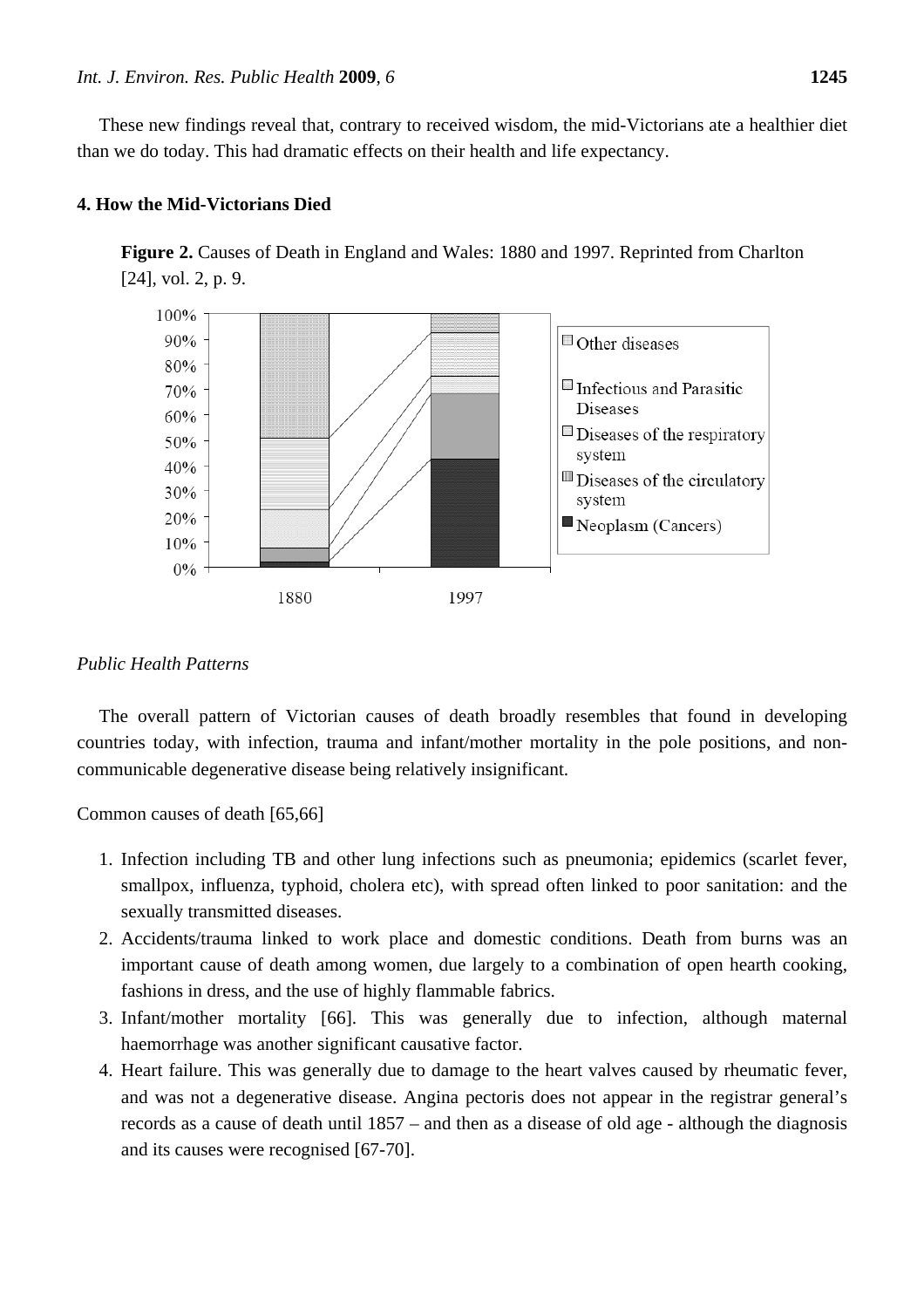These new findings reveal that, contrary to received wisdom, the mid-Victorians ate a healthier diet than we do today. This had dramatic effects on their health and life expectancy.

#### **4. How the Mid-Victorians Died**

**Figure 2.** Causes of Death in England and Wales: 1880 and 1997. Reprinted from Charlton [24], vol. 2, p. 9.



### *Public Health Patterns*

The overall pattern of Victorian causes of death broadly resembles that found in developing countries today, with infection, trauma and infant/mother mortality in the pole positions, and noncommunicable degenerative disease being relatively insignificant.

#### Common causes of death [65,66]

- 1. Infection including TB and other lung infections such as pneumonia; epidemics (scarlet fever, smallpox, influenza, typhoid, cholera etc), with spread often linked to poor sanitation: and the sexually transmitted diseases.
- 2. Accidents/trauma linked to work place and domestic conditions. Death from burns was an important cause of death among women, due largely to a combination of open hearth cooking, fashions in dress, and the use of highly flammable fabrics.
- 3. Infant/mother mortality [66]. This was generally due to infection, although maternal haemorrhage was another significant causative factor.
- 4. Heart failure. This was generally due to damage to the heart valves caused by rheumatic fever, and was not a degenerative disease. Angina pectoris does not appear in the registrar general's records as a cause of death until 1857 – and then as a disease of old age - although the diagnosis and its causes were recognised [67-70].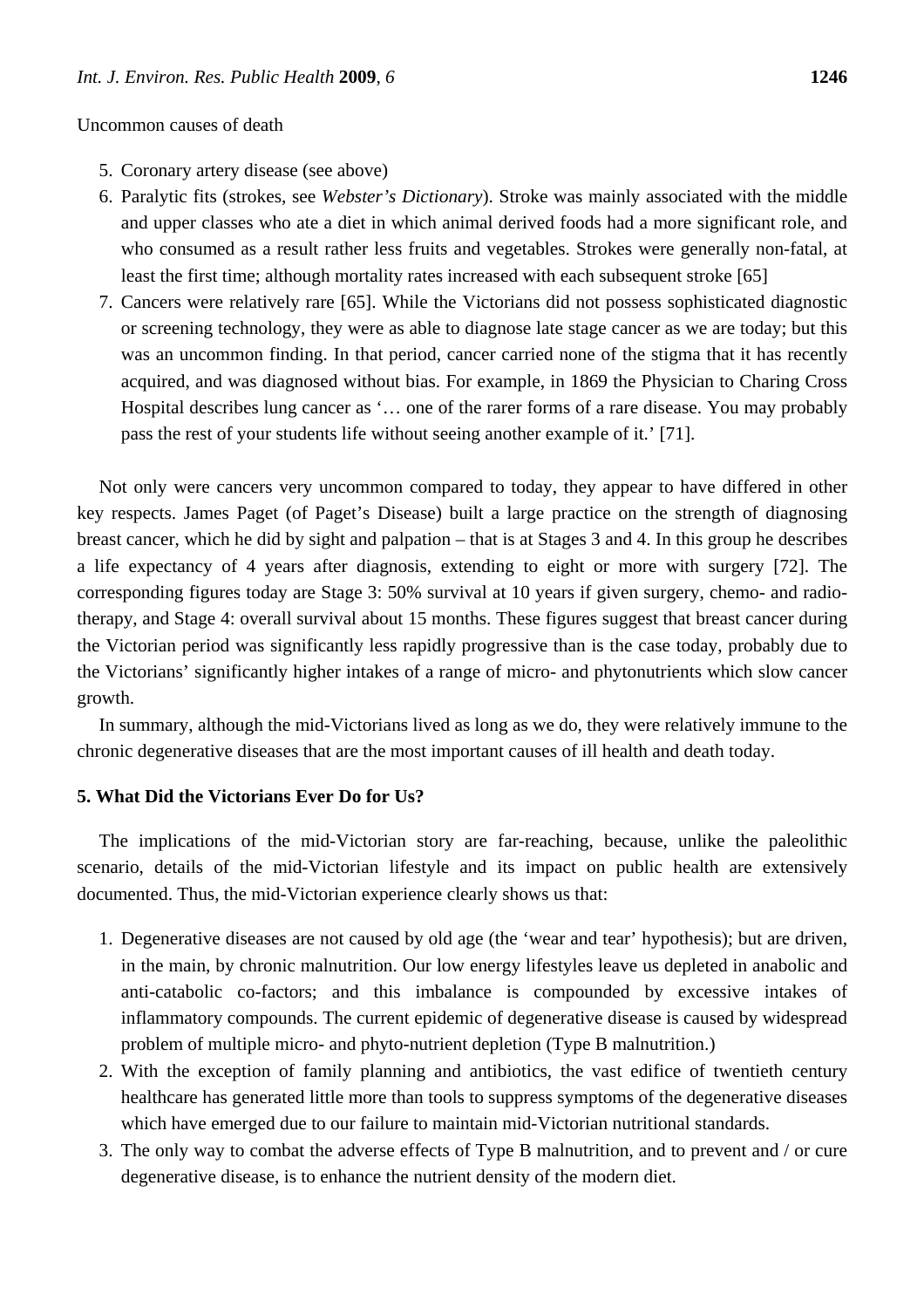Uncommon causes of death

- 5. Coronary artery disease (see above)
- 6. Paralytic fits (strokes, see *Webster's Dictionary*). Stroke was mainly associated with the middle and upper classes who ate a diet in which animal derived foods had a more significant role, and who consumed as a result rather less fruits and vegetables. Strokes were generally non-fatal, at least the first time; although mortality rates increased with each subsequent stroke [65]
- 7. Cancers were relatively rare [65]. While the Victorians did not possess sophisticated diagnostic or screening technology, they were as able to diagnose late stage cancer as we are today; but this was an uncommon finding. In that period, cancer carried none of the stigma that it has recently acquired, and was diagnosed without bias. For example, in 1869 the Physician to Charing Cross Hospital describes lung cancer as '… one of the rarer forms of a rare disease. You may probably pass the rest of your students life without seeing another example of it.' [71].

Not only were cancers very uncommon compared to today, they appear to have differed in other key respects. James Paget (of Paget's Disease) built a large practice on the strength of diagnosing breast cancer, which he did by sight and palpation – that is at Stages 3 and 4. In this group he describes a life expectancy of 4 years after diagnosis, extending to eight or more with surgery [72]. The corresponding figures today are Stage 3: 50% survival at 10 years if given surgery, chemo- and radiotherapy, and Stage 4: overall survival about 15 months. These figures suggest that breast cancer during the Victorian period was significantly less rapidly progressive than is the case today, probably due to the Victorians' significantly higher intakes of a range of micro- and phytonutrients which slow cancer growth.

In summary, although the mid-Victorians lived as long as we do, they were relatively immune to the chronic degenerative diseases that are the most important causes of ill health and death today.

## **5. What Did the Victorians Ever Do for Us?**

The implications of the mid-Victorian story are far-reaching, because, unlike the paleolithic scenario, details of the mid-Victorian lifestyle and its impact on public health are extensively documented. Thus, the mid-Victorian experience clearly shows us that:

- 1. Degenerative diseases are not caused by old age (the 'wear and tear' hypothesis); but are driven, in the main, by chronic malnutrition. Our low energy lifestyles leave us depleted in anabolic and anti-catabolic co-factors; and this imbalance is compounded by excessive intakes of inflammatory compounds. The current epidemic of degenerative disease is caused by widespread problem of multiple micro- and phyto-nutrient depletion (Type B malnutrition.)
- 2. With the exception of family planning and antibiotics, the vast edifice of twentieth century healthcare has generated little more than tools to suppress symptoms of the degenerative diseases which have emerged due to our failure to maintain mid-Victorian nutritional standards.
- 3. The only way to combat the adverse effects of Type B malnutrition, and to prevent and / or cure degenerative disease, is to enhance the nutrient density of the modern diet.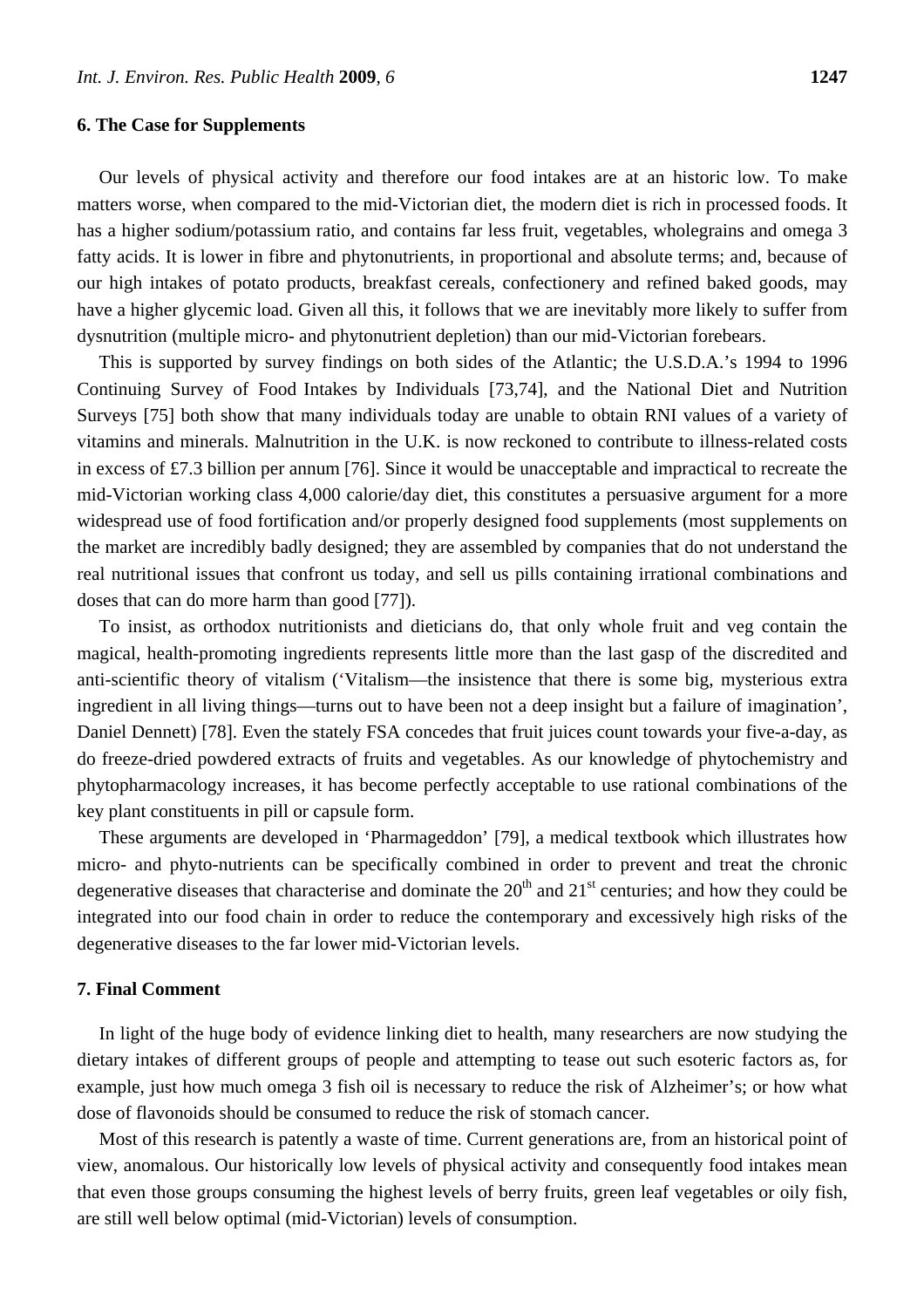#### **6. The Case for Supplements**

Our levels of physical activity and therefore our food intakes are at an historic low. To make matters worse, when compared to the mid-Victorian diet, the modern diet is rich in processed foods. It has a higher sodium/potassium ratio, and contains far less fruit, vegetables, wholegrains and omega 3 fatty acids. It is lower in fibre and phytonutrients, in proportional and absolute terms; and, because of our high intakes of potato products, breakfast cereals, confectionery and refined baked goods, may have a higher glycemic load. Given all this, it follows that we are inevitably more likely to suffer from dysnutrition (multiple micro- and phytonutrient depletion) than our mid-Victorian forebears.

This is supported by survey findings on both sides of the Atlantic; the U.S.D.A.'s 1994 to 1996 Continuing Survey of Food Intakes by Individuals [73,74], and the National Diet and Nutrition Surveys [75] both show that many individuals today are unable to obtain RNI values of a variety of vitamins and minerals. Malnutrition in the U.K. is now reckoned to contribute to illness-related costs in excess of £7.3 billion per annum [76]. Since it would be unacceptable and impractical to recreate the mid-Victorian working class 4,000 calorie/day diet, this constitutes a persuasive argument for a more widespread use of food fortification and/or properly designed food supplements (most supplements on the market are incredibly badly designed; they are assembled by companies that do not understand the real nutritional issues that confront us today, and sell us pills containing irrational combinations and doses that can do more harm than good [77]).

To insist, as orthodox nutritionists and dieticians do, that only whole fruit and veg contain the magical, health-promoting ingredients represents little more than the last gasp of the discredited and anti-scientific theory of vitalism ('Vitalism—the insistence that there is some big, mysterious extra ingredient in all living things—turns out to have been not a deep insight but a failure of imagination', Daniel Dennett) [78]. Even the stately FSA concedes that fruit juices count towards your five-a-day, as do freeze-dried powdered extracts of fruits and vegetables. As our knowledge of phytochemistry and phytopharmacology increases, it has become perfectly acceptable to use rational combinations of the key plant constituents in pill or capsule form.

These arguments are developed in 'Pharmageddon' [79], a medical textbook which illustrates how micro- and phyto-nutrients can be specifically combined in order to prevent and treat the chronic degenerative diseases that characterise and dominate the  $20<sup>th</sup>$  and  $21<sup>st</sup>$  centuries; and how they could be integrated into our food chain in order to reduce the contemporary and excessively high risks of the degenerative diseases to the far lower mid-Victorian levels.

# **7. Final Comment**

In light of the huge body of evidence linking diet to health, many researchers are now studying the dietary intakes of different groups of people and attempting to tease out such esoteric factors as, for example, just how much omega 3 fish oil is necessary to reduce the risk of Alzheimer's; or how what dose of flavonoids should be consumed to reduce the risk of stomach cancer.

Most of this research is patently a waste of time. Current generations are, from an historical point of view, anomalous. Our historically low levels of physical activity and consequently food intakes mean that even those groups consuming the highest levels of berry fruits, green leaf vegetables or oily fish, are still well below optimal (mid-Victorian) levels of consumption.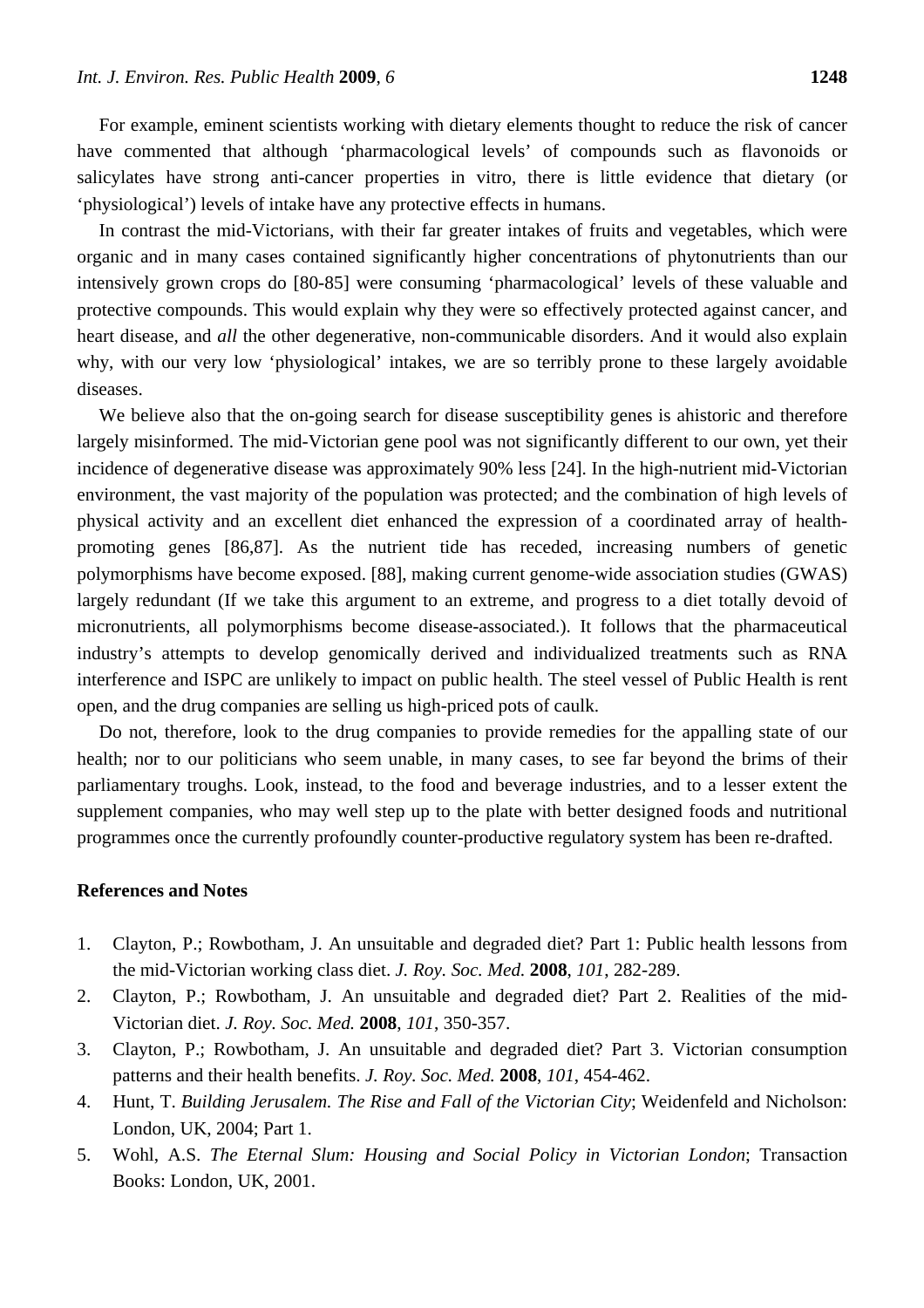For example, eminent scientists working with dietary elements thought to reduce the risk of cancer have commented that although 'pharmacological levels' of compounds such as flavonoids or salicylates have strong anti-cancer properties in vitro, there is little evidence that dietary (or 'physiological') levels of intake have any protective effects in humans.

In contrast the mid-Victorians, with their far greater intakes of fruits and vegetables, which were organic and in many cases contained significantly higher concentrations of phytonutrients than our intensively grown crops do [80-85] were consuming 'pharmacological' levels of these valuable and protective compounds. This would explain why they were so effectively protected against cancer, and heart disease, and *all* the other degenerative, non-communicable disorders. And it would also explain why, with our very low 'physiological' intakes, we are so terribly prone to these largely avoidable diseases.

We believe also that the on-going search for disease susceptibility genes is ahistoric and therefore largely misinformed. The mid-Victorian gene pool was not significantly different to our own, yet their incidence of degenerative disease was approximately 90% less [24]. In the high-nutrient mid-Victorian environment, the vast majority of the population was protected; and the combination of high levels of physical activity and an excellent diet enhanced the expression of a coordinated array of healthpromoting genes [86,87]. As the nutrient tide has receded, increasing numbers of genetic polymorphisms have become exposed. [88], making current genome-wide association studies (GWAS) largely redundant (If we take this argument to an extreme, and progress to a diet totally devoid of micronutrients, all polymorphisms become disease-associated.). It follows that the pharmaceutical industry's attempts to develop genomically derived and individualized treatments such as RNA interference and ISPC are unlikely to impact on public health. The steel vessel of Public Health is rent open, and the drug companies are selling us high-priced pots of caulk.

Do not, therefore, look to the drug companies to provide remedies for the appalling state of our health; nor to our politicians who seem unable, in many cases, to see far beyond the brims of their parliamentary troughs. Look, instead, to the food and beverage industries, and to a lesser extent the supplement companies, who may well step up to the plate with better designed foods and nutritional programmes once the currently profoundly counter-productive regulatory system has been re-drafted.

#### **References and Notes**

- 1. Clayton, P.; Rowbotham, J. An unsuitable and degraded diet? Part 1: Public health lessons from the mid-Victorian working class diet. *J. Roy. Soc. Med.* **2008**, *101*, 282-289.
- 2. Clayton, P.; Rowbotham, J. An unsuitable and degraded diet? Part 2. Realities of the mid-Victorian diet. *J. Roy. Soc. Med.* **2008**, *101*, 350-357.
- 3. Clayton, P.; Rowbotham, J. An unsuitable and degraded diet? Part 3. Victorian consumption patterns and their health benefits. *J. Roy. Soc. Med.* **2008**, *101*, 454-462.
- 4. Hunt, T. *Building Jerusalem. The Rise and Fall of the Victorian City*; Weidenfeld and Nicholson: London, UK, 2004; Part 1.
- 5. Wohl, A.S. *The Eternal Slum: Housing and Social Policy in Victorian London*; Transaction Books: London, UK, 2001.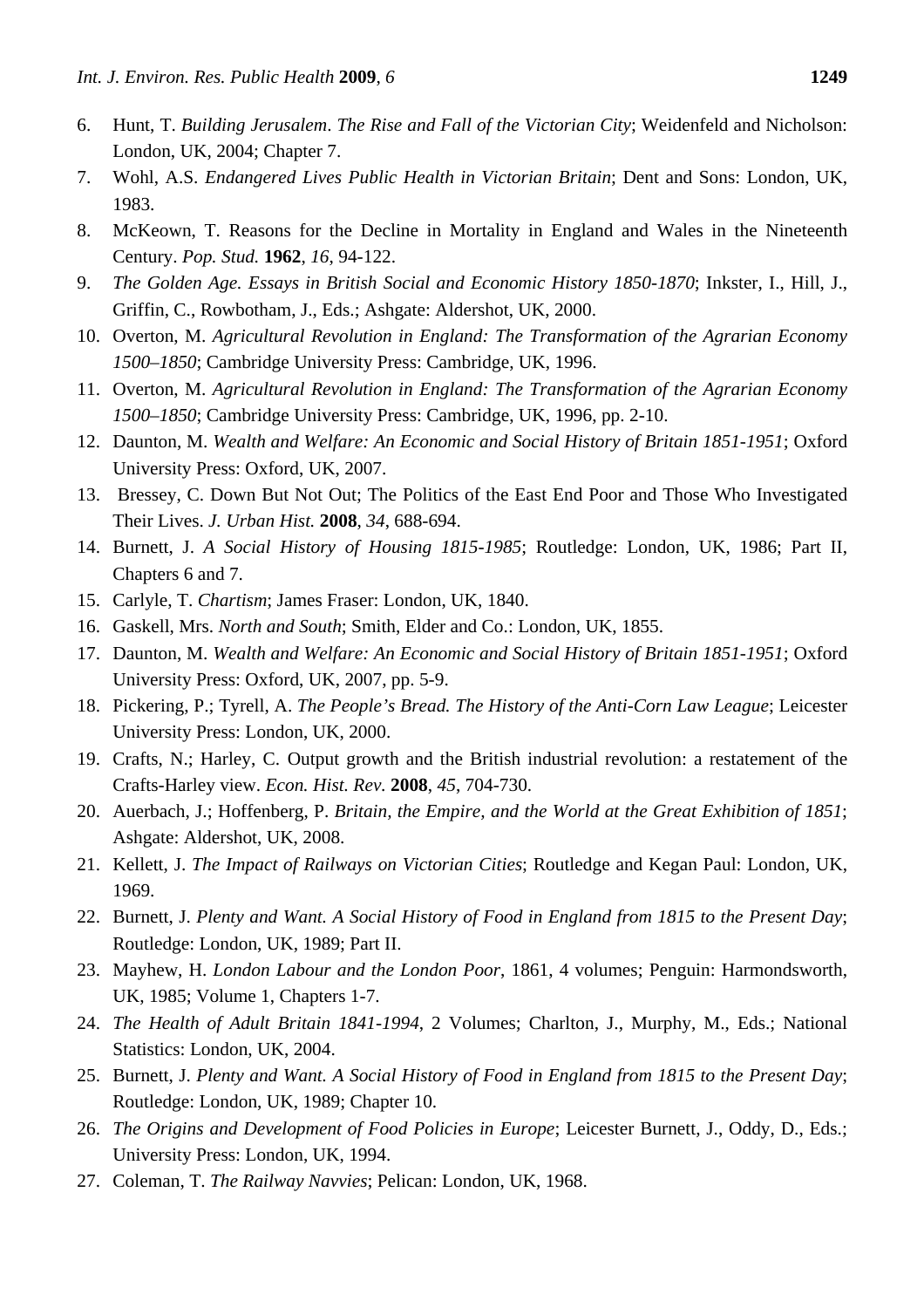- 6. Hunt, T. *Building Jerusalem*. *The Rise and Fall of the Victorian City*; Weidenfeld and Nicholson: London, UK, 2004; Chapter 7.
- 7. Wohl, A.S. *Endangered Lives Public Health in Victorian Britain*; Dent and Sons: London, UK, 1983.
- 8. McKeown, T. Reasons for the Decline in Mortality in England and Wales in the Nineteenth Century. *Pop. Stud.* **1962**, *16*, 94-122.
- 9. *The Golden Age. Essays in British Social and Economic History 1850-1870*; Inkster, I., Hill, J., Griffin, C., Rowbotham, J., Eds.; Ashgate: Aldershot, UK, 2000.
- 10. Overton, M. *Agricultural Revolution in England: The Transformation of the Agrarian Economy 1500–1850*; Cambridge University Press: Cambridge, UK, 1996.
- 11. Overton, M. *Agricultural Revolution in England: The Transformation of the Agrarian Economy 1500–1850*; Cambridge University Press: Cambridge, UK, 1996, pp. 2-10.
- 12. Daunton, M. *Wealth and Welfare: An Economic and Social History of Britain 1851-1951*; Oxford University Press: Oxford, UK, 2007.
- 13. Bressey, C. Down But Not Out; The Politics of the East End Poor and Those Who Investigated Their Lives. *J. Urban Hist.* **2008**, *34*, 688-694.
- 14. Burnett, J. *A Social History of Housing 1815-1985*; Routledge: London, UK, 1986; Part II, Chapters 6 and 7.
- 15. Carlyle, T. *Chartism*; James Fraser: London, UK, 1840.
- 16. Gaskell, Mrs. *North and South*; Smith, Elder and Co.: London, UK, 1855.
- 17. Daunton, M. *Wealth and Welfare: An Economic and Social History of Britain 1851-1951*; Oxford University Press: Oxford, UK, 2007, pp. 5-9.
- 18. Pickering, P.; Tyrell, A. *The People's Bread. The History of the Anti-Corn Law League*; Leicester University Press: London, UK, 2000.
- 19. Crafts, N.; Harley, C. Output growth and the British industrial revolution: a restatement of the Crafts-Harley view. *Econ. Hist. Rev.* **2008**, *45*, 704-730.
- 20. Auerbach, J.; Hoffenberg, P. *Britain, the Empire, and the World at the Great Exhibition of 1851*; Ashgate: Aldershot, UK, 2008.
- 21. Kellett, J. *The Impact of Railways on Victorian Cities*; Routledge and Kegan Paul: London, UK, 1969.
- 22. Burnett, J. *Plenty and Want. A Social History of Food in England from 1815 to the Present Day*; Routledge: London, UK, 1989; Part II.
- 23. Mayhew, H. *London Labour and the London Poor*, 1861, 4 volumes; Penguin: Harmondsworth, UK, 1985; Volume 1, Chapters 1-7.
- 24. *The Health of Adult Britain 1841-1994*, 2 Volumes; Charlton, J., Murphy, M., Eds.; National Statistics: London, UK, 2004.
- 25. Burnett, J. *Plenty and Want. A Social History of Food in England from 1815 to the Present Day*; Routledge: London, UK, 1989; Chapter 10.
- 26. *The Origins and Development of Food Policies in Europe*; Leicester Burnett, J., Oddy, D., Eds.; University Press: London, UK, 1994.
- 27. Coleman, T. *The Railway Navvies*; Pelican: London, UK, 1968.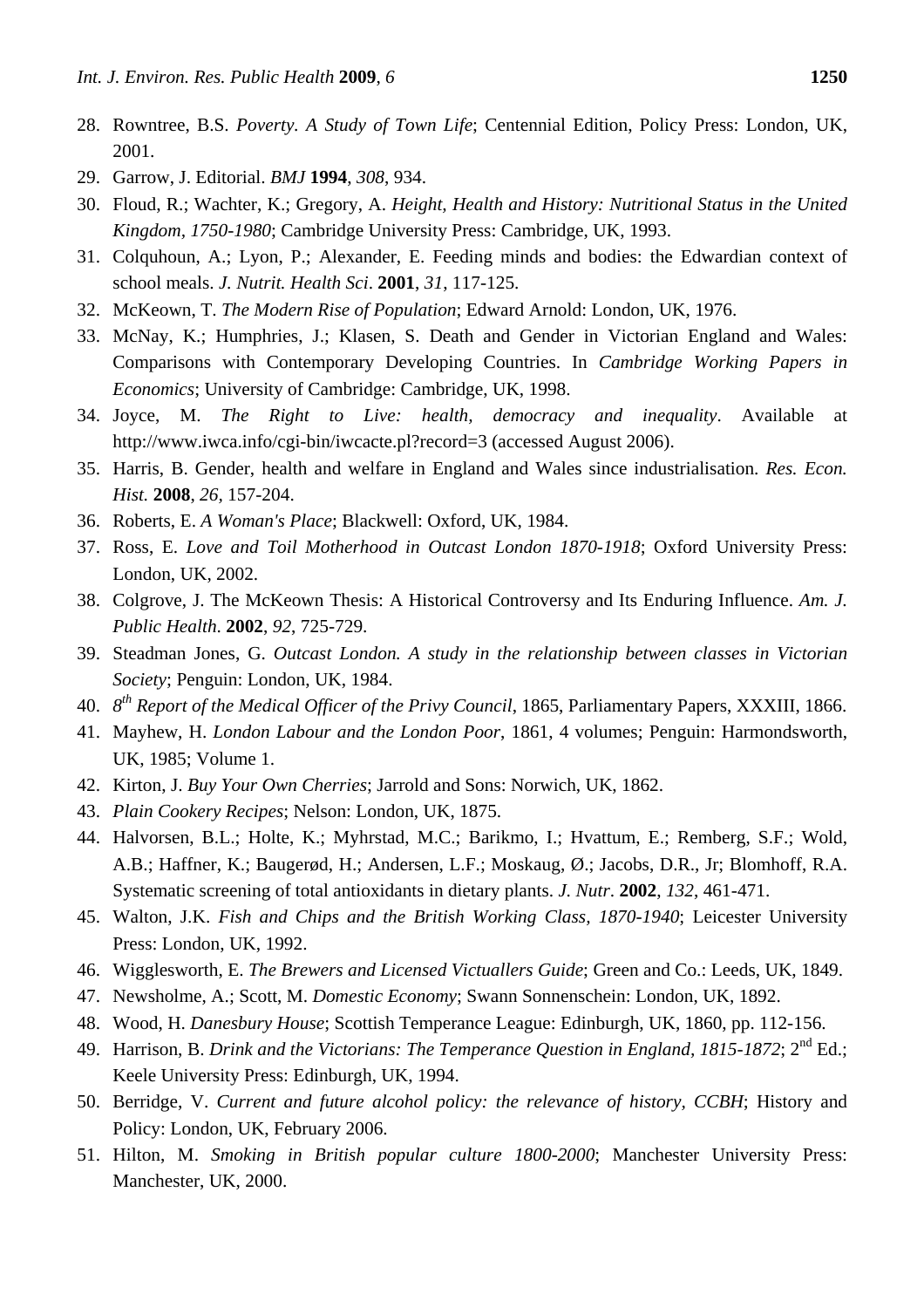- 28. Rowntree, B.S. *Poverty. A Study of Town Life*; Centennial Edition, Policy Press: London, UK, 2001.
- 29. Garrow, J. Editorial. *BMJ* **1994**, *308*, 934.
- 30. Floud, R.; Wachter, K.; Gregory, A. *Height, Health and History: Nutritional Status in the United Kingdom, 1750-1980*; Cambridge University Press: Cambridge, UK, 1993.
- 31. Colquhoun, A.; Lyon, P.; Alexander, E. Feeding minds and bodies: the Edwardian context of school meals. *J. Nutrit. Health Sci*. **2001**, *31*, 117-125.
- 32. McKeown, T. *The Modern Rise of Population*; Edward Arnold: London, UK, 1976.
- 33. McNay, K.; Humphries, J.; Klasen, S. Death and Gender in Victorian England and Wales: Comparisons with Contemporary Developing Countries. In *Cambridge Working Papers in Economics*; University of Cambridge: Cambridge, UK, 1998.
- 34. Joyce, M. *The Right to Live: health, democracy and inequality*. Available at http://www.iwca.info/cgi-bin/iwcacte.pl?record=3 (accessed August 2006).
- 35. Harris, B. Gender, health and welfare in England and Wales since industrialisation. *Res. Econ. Hist.* **2008**, *26,* 157-204.
- 36. Roberts, E. *A Woman's Place*; Blackwell: Oxford, UK, 1984.
- 37. Ross, E. *Love and Toil Motherhood in Outcast London 1870-1918*; Oxford University Press: London, UK, 2002.
- 38. Colgrove, J. The McKeown Thesis: A Historical Controversy and Its Enduring Influence. *Am. J. Public Health*. **2002**, *92*, 725-729.
- 39. Steadman Jones, G. *Outcast London. A study in the relationship between classes in Victorian Society*; Penguin: London, UK, 1984.
- 40. *8th Report of the Medical Officer of the Privy Council*, 1865, Parliamentary Papers, XXXIII, 1866.
- 41. Mayhew, H. *London Labour and the London Poor*, 1861, 4 volumes; Penguin: Harmondsworth, UK, 1985; Volume 1.
- 42. Kirton, J. *Buy Your Own Cherries*; Jarrold and Sons: Norwich, UK, 1862.
- 43. *Plain Cookery Recipes*; Nelson: London, UK, 1875.
- 44. Halvorsen, B.L.; Holte, K.; Myhrstad, M.C.; Barikmo, I.; Hvattum, E.; Remberg, S.F.; Wold, A.B.; Haffner, K.; Baugerød, H.; Andersen, L.F.; Moskaug, Ø.; Jacobs, D.R., Jr; Blomhoff, R.A. Systematic screening of total antioxidants in dietary plants. *J. Nutr*. **2002**, *132*, 461-471.
- 45. Walton, J.K. *Fish and Chips and the British Working Class, 1870-1940*; Leicester University Press: London, UK, 1992.
- 46. Wigglesworth, E. *The Brewers and Licensed Victuallers Guide*; Green and Co.: Leeds, UK, 1849.
- 47. Newsholme, A.; Scott, M. *Domestic Economy*; Swann Sonnenschein: London, UK, 1892.
- 48. Wood, H. *Danesbury House*; Scottish Temperance League: Edinburgh, UK, 1860, pp. 112-156.
- 49. Harrison, B. *Drink and the Victorians: The Temperance Ouestion in England, 1815-1872*; 2<sup>nd</sup> Ed.; Keele University Press: Edinburgh, UK, 1994.
- 50. Berridge, V. *Current and future alcohol policy: the relevance of history, CCBH*; History and Policy: London, UK, February 2006.
- 51. Hilton, M. *Smoking in British popular culture 1800-2000*; Manchester University Press: Manchester, UK, 2000.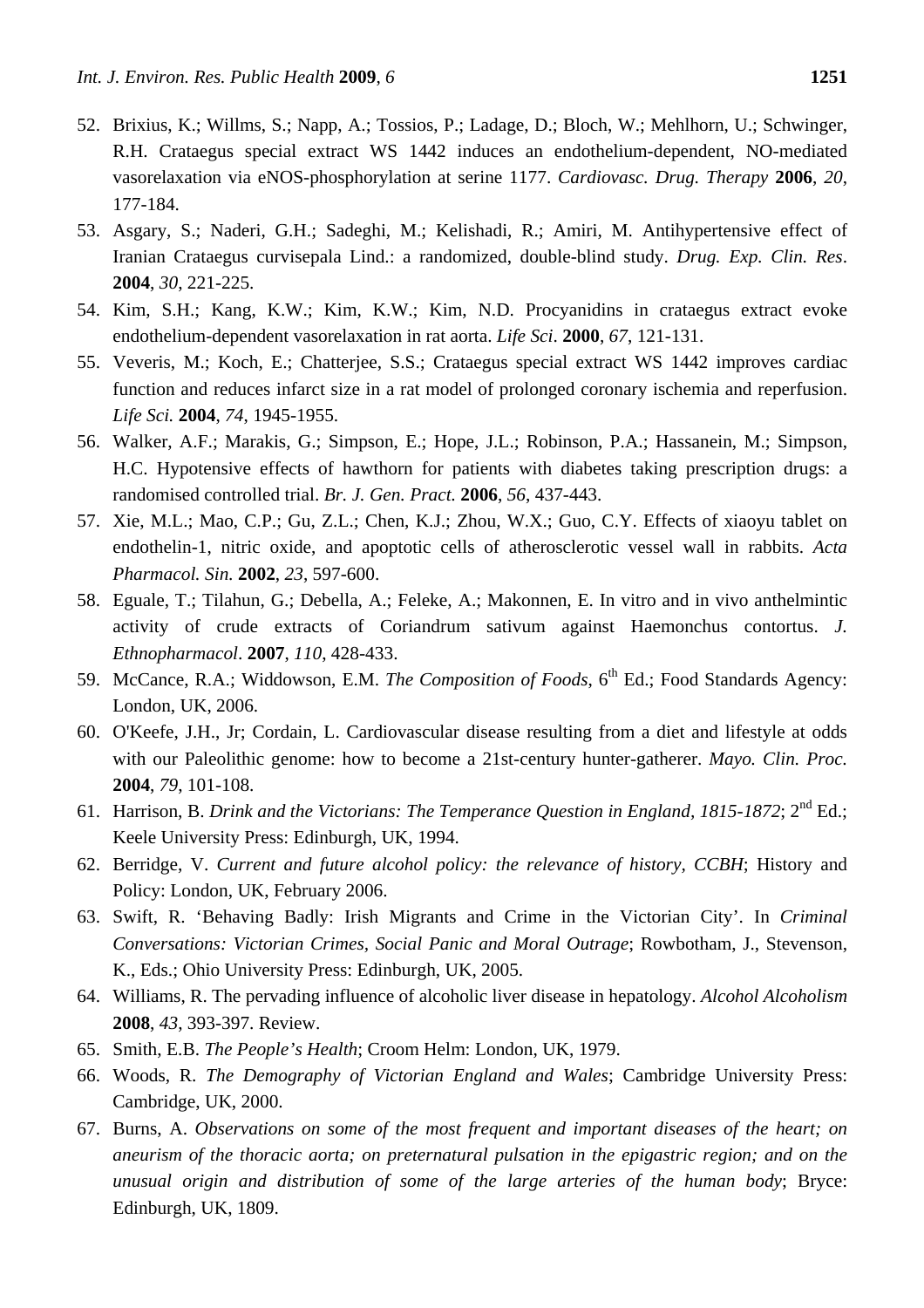- 52. Brixius, K.; Willms, S.; Napp, A.; Tossios, P.; Ladage, D.; Bloch, W.; Mehlhorn, U.; Schwinger, R.H. Crataegus special extract WS 1442 induces an endothelium-dependent, NO-mediated vasorelaxation via eNOS-phosphorylation at serine 1177. *Cardiovasc. Drug. Therapy* **2006**, *20*, 177-184.
- 53. Asgary, S.; Naderi, G.H.; Sadeghi, M.; Kelishadi, R.; Amiri, M. Antihypertensive effect of Iranian Crataegus curvisepala Lind.: a randomized, double-blind study. *Drug. Exp. Clin. Res*. **2004**, *30*, 221-225.
- 54. Kim, S.H.; Kang, K.W.; Kim, K.W.; Kim, N.D. Procyanidins in crataegus extract evoke endothelium-dependent vasorelaxation in rat aorta. *Life Sci*. **2000**, *67*, 121-131.
- 55. Veveris, M.; Koch, E.; Chatterjee, S.S.; Crataegus special extract WS 1442 improves cardiac function and reduces infarct size in a rat model of prolonged coronary ischemia and reperfusion. *Life Sci.* **2004**, *74*, 1945-1955.
- 56. Walker, A.F.; Marakis, G.; Simpson, E.; Hope, J.L.; Robinson, P.A.; Hassanein, M.; Simpson, H.C. Hypotensive effects of hawthorn for patients with diabetes taking prescription drugs: a randomised controlled trial. *Br. J. Gen. Pract.* **2006**, *56*, 437-443.
- 57. Xie, M.L.; Mao, C.P.; Gu, Z.L.; Chen, K.J.; Zhou, W.X.; Guo, C.Y. Effects of xiaoyu tablet on endothelin-1, nitric oxide, and apoptotic cells of atherosclerotic vessel wall in rabbits. *Acta Pharmacol. Sin.* **2002**, *23*, 597-600.
- 58. Eguale, T.; Tilahun, G.; Debella, A.; Feleke, A.; Makonnen, E. In vitro and in vivo anthelmintic activity of crude extracts of Coriandrum sativum against Haemonchus contortus. *J. Ethnopharmacol*. **2007**, *110*, 428-433.
- 59. McCance, R.A.; Widdowson, E.M. *The Composition of Foods*, 6<sup>th</sup> Ed.; Food Standards Agency: London, UK, 2006.
- 60. O'Keefe, J.H., Jr; Cordain, L. Cardiovascular disease resulting from a diet and lifestyle at odds with our Paleolithic genome: how to become a 21st-century hunter-gatherer. *Mayo. Clin. Proc.* **2004**, *79*, 101-108.
- 61. Harrison, B. *Drink and the Victorians: The Temperance Question in England, 1815-1872*; 2<sup>nd</sup> Ed.; Keele University Press: Edinburgh, UK, 1994.
- 62. Berridge, V. *Current and future alcohol policy: the relevance of history, CCBH*; History and Policy: London, UK, February 2006.
- 63. Swift, R. 'Behaving Badly: Irish Migrants and Crime in the Victorian City'. In *Criminal Conversations: Victorian Crimes, Social Panic and Moral Outrage*; Rowbotham, J., Stevenson, K., Eds.; Ohio University Press: Edinburgh, UK, 2005.
- 64. Williams, R. The pervading influence of alcoholic liver disease in hepatology. *Alcohol Alcoholism* **2008**, *43*, 393-397. Review.
- 65. Smith, E.B. *The People's Health*; Croom Helm: London, UK, 1979.
- 66. Woods, R. *The Demography of Victorian England and Wales*; Cambridge University Press: Cambridge, UK, 2000.
- 67. Burns, A. *Observations on some of the most frequent and important diseases of the heart; on aneurism of the thoracic aorta; on preternatural pulsation in the epigastric region; and on the unusual origin and distribution of some of the large arteries of the human body*; Bryce: Edinburgh, UK, 1809.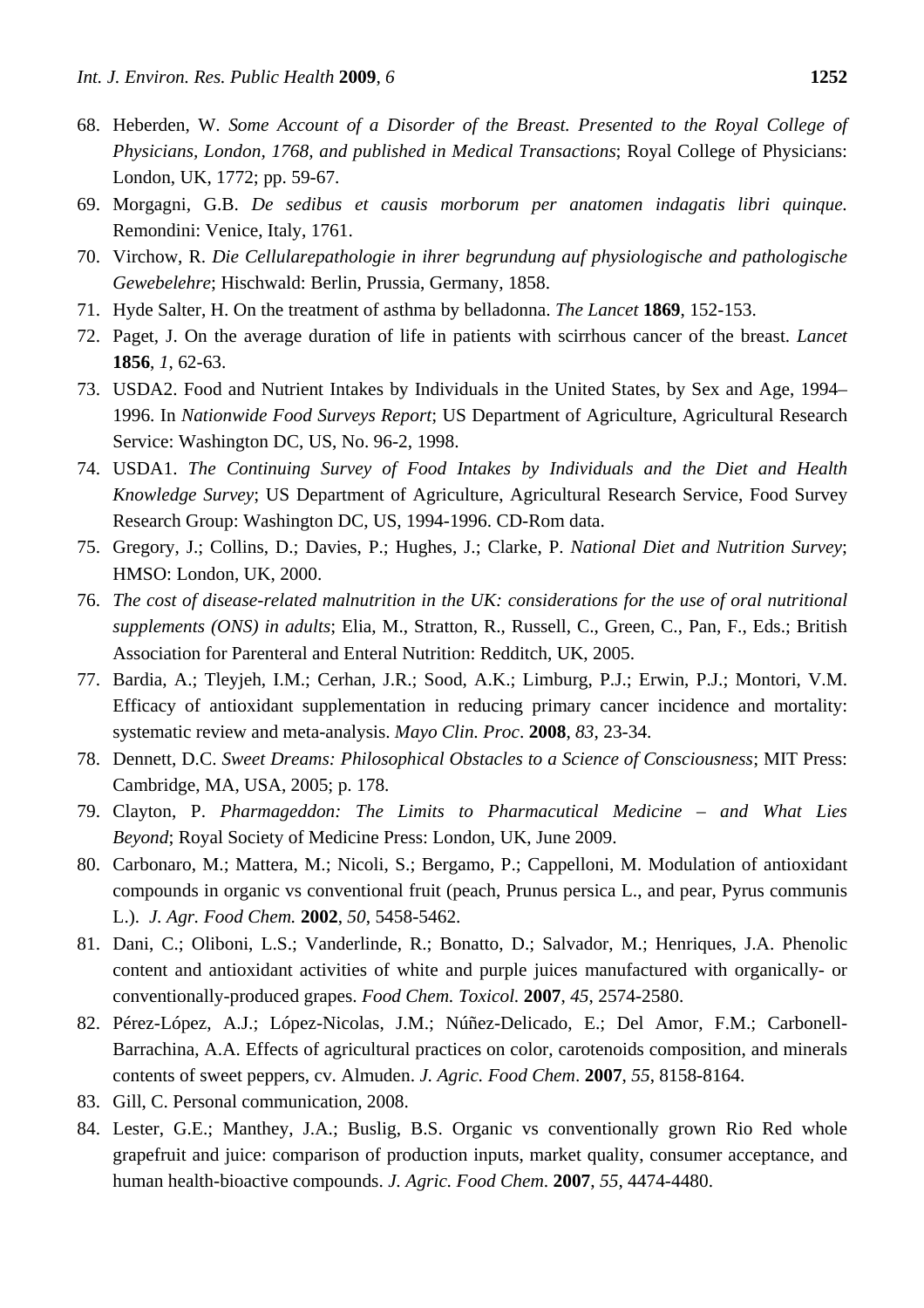- 68. Heberden, W. *Some Account of a Disorder of the Breast. Presented to the Royal College of Physicians, London, 1768, and published in Medical Transactions*; Royal College of Physicians: London, UK, 1772; pp. 59-67.
- 69. Morgagni, G.B. *De sedibus et causis morborum per anatomen indagatis libri quinque.*  Remondini: Venice, Italy, 1761.
- 70. Virchow, R. *Die Cellularepathologie in ihrer begrundung auf physiologische and pathologische Gewebelehre*; Hischwald: Berlin, Prussia, Germany, 1858.
- 71. Hyde Salter, H. On the treatment of asthma by belladonna. *The Lancet* **1869**, 152-153.
- 72. Paget, J. On the average duration of life in patients with scirrhous cancer of the breast. *Lancet*  **1856**, *1*, 62-63.
- 73. USDA2. Food and Nutrient Intakes by Individuals in the United States, by Sex and Age, 1994– 1996. In *Nationwide Food Surveys Report*; US Department of Agriculture, Agricultural Research Service: Washington DC, US, No. 96-2, 1998.
- 74. USDA1. *The Continuing Survey of Food Intakes by Individuals and the Diet and Health Knowledge Survey*; US Department of Agriculture, Agricultural Research Service, Food Survey Research Group: Washington DC, US, 1994-1996. CD-Rom data.
- 75. Gregory, J.; Collins, D.; Davies, P.; Hughes, J.; Clarke, P. *National Diet and Nutrition Survey*; HMSO: London, UK, 2000.
- 76. *The cost of disease-related malnutrition in the UK: considerations for the use of oral nutritional supplements (ONS) in adults*; Elia, M., Stratton, R., Russell, C., Green, C., Pan, F., Eds.; British Association for Parenteral and Enteral Nutrition: Redditch, UK, 2005.
- 77. Bardia, A.; Tleyjeh, I.M.; Cerhan, J.R.; Sood, A.K.; Limburg, P.J.; Erwin, P.J.; Montori, V.M. Efficacy of antioxidant supplementation in reducing primary cancer incidence and mortality: systematic review and meta-analysis. *Mayo Clin. Proc*. **2008**, *83*, 23-34.
- 78. Dennett, D.C. *Sweet Dreams: Philosophical Obstacles to a Science of Consciousness*; MIT Press: Cambridge, MA, USA, 2005; p. 178.
- 79. Clayton, P. *Pharmageddon: The Limits to Pharmacutical Medicine and What Lies Beyond*; Royal Society of Medicine Press: London, UK, June 2009.
- 80. Carbonaro, M.; Mattera, M.; Nicoli, S.; Bergamo, P.; Cappelloni, M. Modulation of antioxidant compounds in organic vs conventional fruit (peach, Prunus persica L., and pear, Pyrus communis L.). *J. Agr. Food Chem.* **2002**, *50*, 5458-5462.
- 81. Dani, C.; Oliboni, L.S.; Vanderlinde, R.; Bonatto, D.; Salvador, M.; Henriques, J.A. Phenolic content and antioxidant activities of white and purple juices manufactured with organically- or conventionally-produced grapes. *Food Chem. Toxicol.* **2007**, *45*, 2574-2580.
- 82. Pérez-López, A.J.; López-Nicolas, J.M.; Núñez-Delicado, E.; Del Amor, F.M.; Carbonell-Barrachina, A.A. Effects of agricultural practices on color, carotenoids composition, and minerals contents of sweet peppers, cv. Almuden. *J. Agric. Food Chem*. **2007**, *55*, 8158-8164.
- 83. Gill, C. Personal communication, 2008.
- 84. Lester, G.E.; Manthey, J.A.; Buslig, B.S. Organic vs conventionally grown Rio Red whole grapefruit and juice: comparison of production inputs, market quality, consumer acceptance, and human health-bioactive compounds. *J. Agric. Food Chem*. **2007**, *55*, 4474-4480.